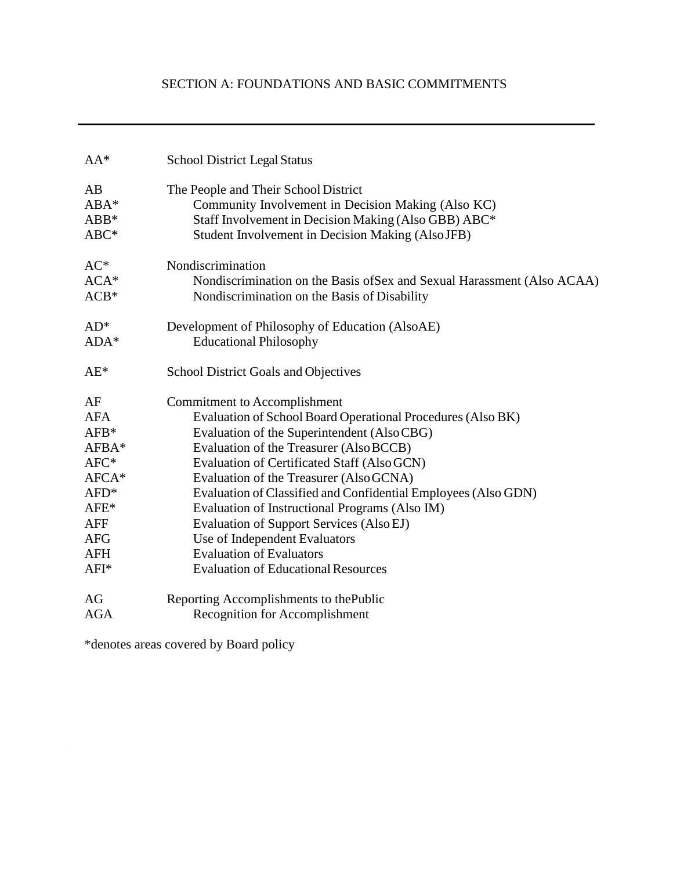# SECTION A: FOUNDATIONS AND BASIC COMMITMENTS

| $AA^*$     | <b>School District Legal Status</b>                                     |  |
|------------|-------------------------------------------------------------------------|--|
| AB         | The People and Their School District                                    |  |
| $ABA^*$    | Community Involvement in Decision Making (Also KC)                      |  |
| $ABB*$     | Staff Involvement in Decision Making (Also GBB) ABC*                    |  |
| $ABC*$     | Student Involvement in Decision Making (AlsoJFB)                        |  |
| $AC*$      | Nondiscrimination                                                       |  |
| $ACA*$     | Nondiscrimination on the Basis of Sex and Sexual Harassment (Also ACAA) |  |
| $ACB*$     | Nondiscrimination on the Basis of Disability                            |  |
| $AD^*$     | Development of Philosophy of Education (AlsoAE)                         |  |
| ADA*       | <b>Educational Philosophy</b>                                           |  |
| $AE^*$     | <b>School District Goals and Objectives</b>                             |  |
| AF         | <b>Commitment to Accomplishment</b>                                     |  |
| <b>AFA</b> | Evaluation of School Board Operational Procedures (Also BK)             |  |
| $AFB*$     | Evaluation of the Superintendent (AlsoCBG)                              |  |
| AFBA*      | Evaluation of the Treasurer (Also BCCB)                                 |  |
| $AFC*$     | Evaluation of Certificated Staff (Also GCN)                             |  |
| AFCA*      | Evaluation of the Treasurer (Also GCNA)                                 |  |
| $AFD*$     | Evaluation of Classified and Confidential Employees (Also GDN)          |  |
| $AFE*$     | Evaluation of Instructional Programs (Also IM)                          |  |
| <b>AFF</b> | Evaluation of Support Services (Also EJ)                                |  |
| <b>AFG</b> | Use of Independent Evaluators                                           |  |
| <b>AFH</b> | <b>Evaluation of Evaluators</b>                                         |  |
| AFI*       | <b>Evaluation of Educational Resources</b>                              |  |
| AG         | Reporting Accomplishments to the Public                                 |  |
| <b>AGA</b> | Recognition for Accomplishment                                          |  |

\*denotes areas covered by Board policy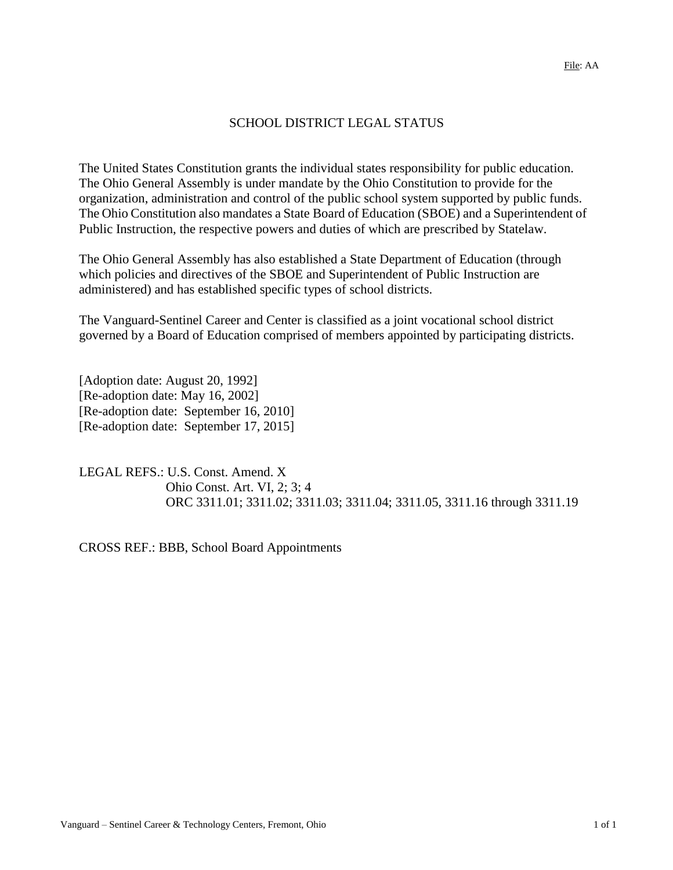## SCHOOL DISTRICT LEGAL STATUS

The United States Constitution grants the individual states responsibility for public education. The Ohio General Assembly is under mandate by the Ohio Constitution to provide for the organization, administration and control of the public school system supported by public funds. The Ohio Constitution also mandates a State Board of Education (SBOE) and a Superintendent of Public Instruction, the respective powers and duties of which are prescribed by Statelaw.

The Ohio General Assembly has also established a State Department of Education (through which policies and directives of the SBOE and Superintendent of Public Instruction are administered) and has established specific types of school districts.

The Vanguard-Sentinel Career and Center is classified as a joint vocational school district governed by a Board of Education comprised of members appointed by participating districts.

[Adoption date: August 20, 1992] [Re-adoption date: May 16, 2002] [Re-adoption date: September 16, 2010] [Re-adoption date: September 17, 2015]

LEGAL REFS.: U.S. Const. Amend. X Ohio Const. Art. VI, 2; 3; 4 ORC 3311.01; 3311.02; 3311.03; 3311.04; 3311.05, 3311.16 through 3311.19

CROSS REF.: BBB, School Board Appointments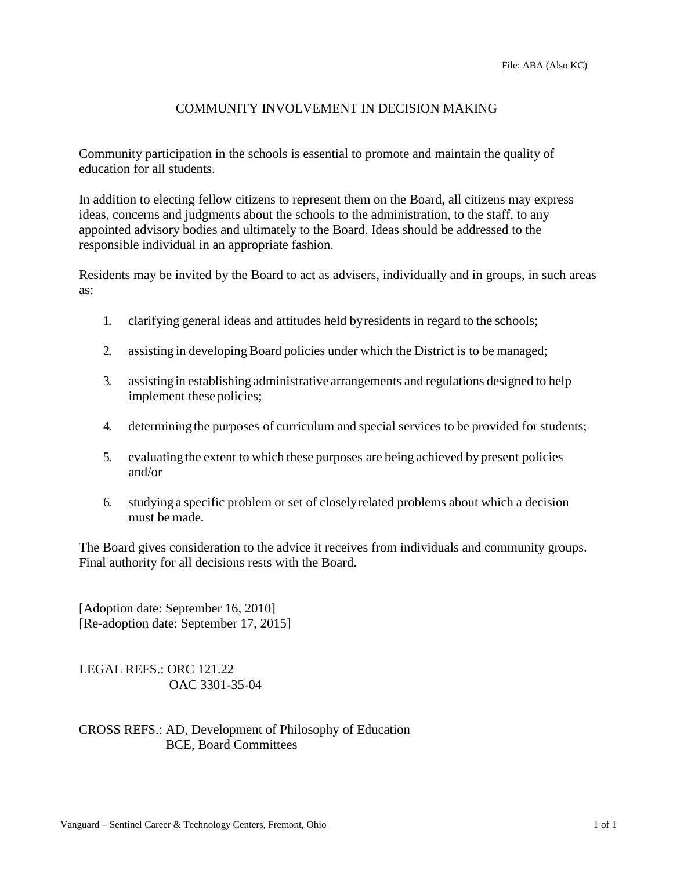## COMMUNITY INVOLVEMENT IN DECISION MAKING

Community participation in the schools is essential to promote and maintain the quality of education for all students.

In addition to electing fellow citizens to represent them on the Board, all citizens may express ideas, concerns and judgments about the schools to the administration, to the staff, to any appointed advisory bodies and ultimately to the Board. Ideas should be addressed to the responsible individual in an appropriate fashion.

Residents may be invited by the Board to act as advisers, individually and in groups, in such areas as:

- 1. clarifying general ideas and attitudes held byresidents in regard to the schools;
- 2. assisting in developing Board policies under which the District is to be managed;
- 3. assistingin establishing administrative arrangements and regulations designed to help implement these policies;
- 4. determining the purposes of curriculum and special services to be provided for students;
- 5. evaluating the extent to which these purposes are being achieved bypresent policies and/or
- 6. studying a specific problem or set of closelyrelated problems about which a decision must be made.

The Board gives consideration to the advice it receives from individuals and community groups. Final authority for all decisions rests with the Board.

[Adoption date: September 16, 2010] [Re-adoption date: September 17, 2015]

LEGAL REFS.: ORC 121.22 OAC 3301-35-04

CROSS REFS.: AD, Development of Philosophy of Education BCE, Board Committees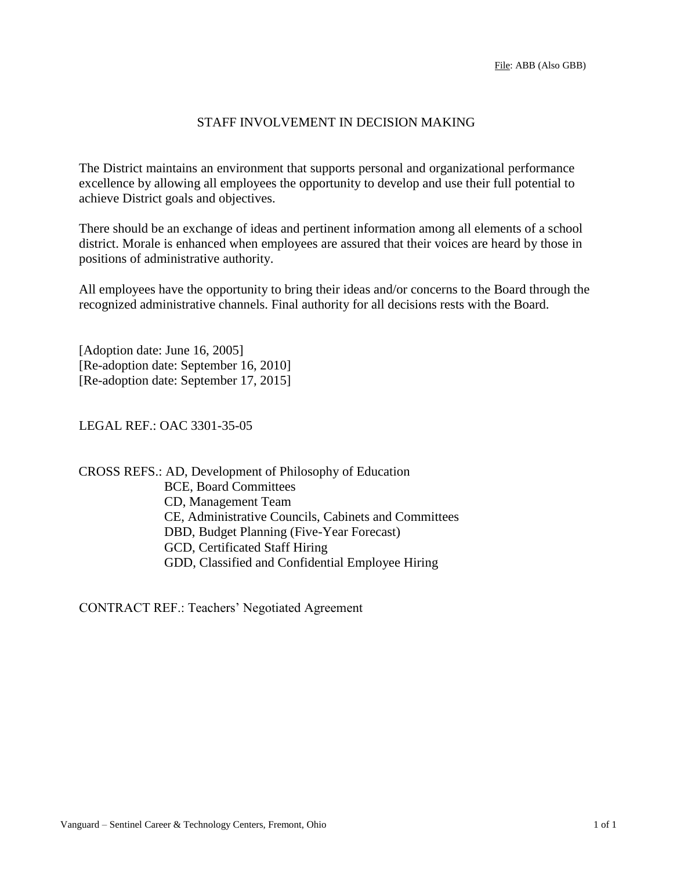#### STAFF INVOLVEMENT IN DECISION MAKING

The District maintains an environment that supports personal and organizational performance excellence by allowing all employees the opportunity to develop and use their full potential to achieve District goals and objectives.

There should be an exchange of ideas and pertinent information among all elements of a school district. Morale is enhanced when employees are assured that their voices are heard by those in positions of administrative authority.

All employees have the opportunity to bring their ideas and/or concerns to the Board through the recognized administrative channels. Final authority for all decisions rests with the Board.

[Adoption date: June 16, 2005] [Re-adoption date: September 16, 2010] [Re-adoption date: September 17, 2015]

LEGAL REF.: OAC 3301-35-05

CROSS REFS.: AD, Development of Philosophy of Education BCE, Board Committees CD, Management Team CE, Administrative Councils, Cabinets and Committees DBD, Budget Planning (Five-Year Forecast) GCD, Certificated Staff Hiring GDD, Classified and Confidential Employee Hiring

CONTRACT REF.: Teachers' Negotiated Agreement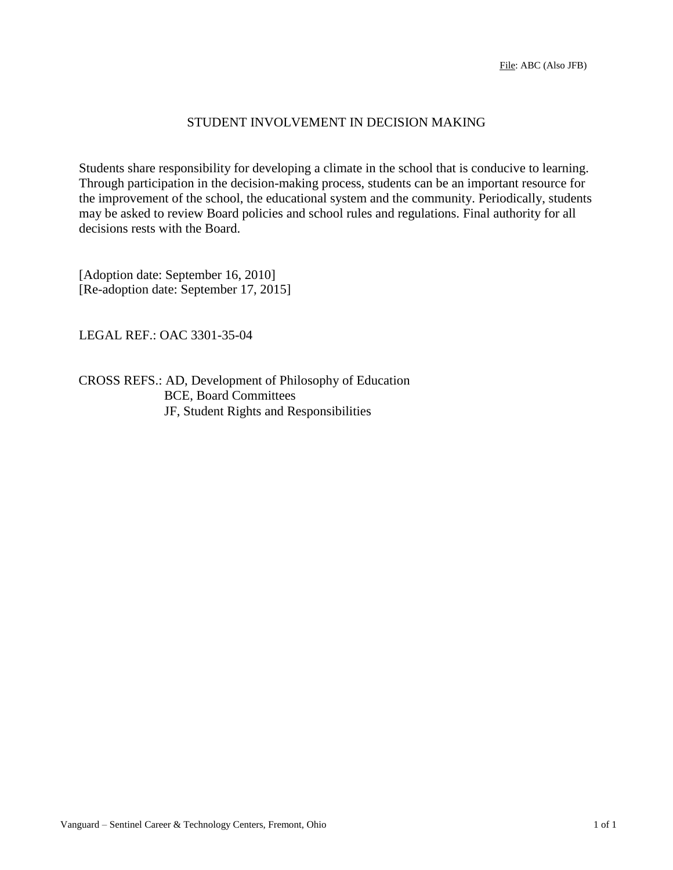#### STUDENT INVOLVEMENT IN DECISION MAKING

Students share responsibility for developing a climate in the school that is conducive to learning. Through participation in the decision-making process, students can be an important resource for the improvement of the school, the educational system and the community. Periodically, students may be asked to review Board policies and school rules and regulations. Final authority for all decisions rests with the Board.

[Adoption date: September 16, 2010] [Re-adoption date: September 17, 2015]

LEGAL REF.: OAC 3301-35-04

CROSS REFS.: AD, Development of Philosophy of Education BCE, Board Committees JF, Student Rights and Responsibilities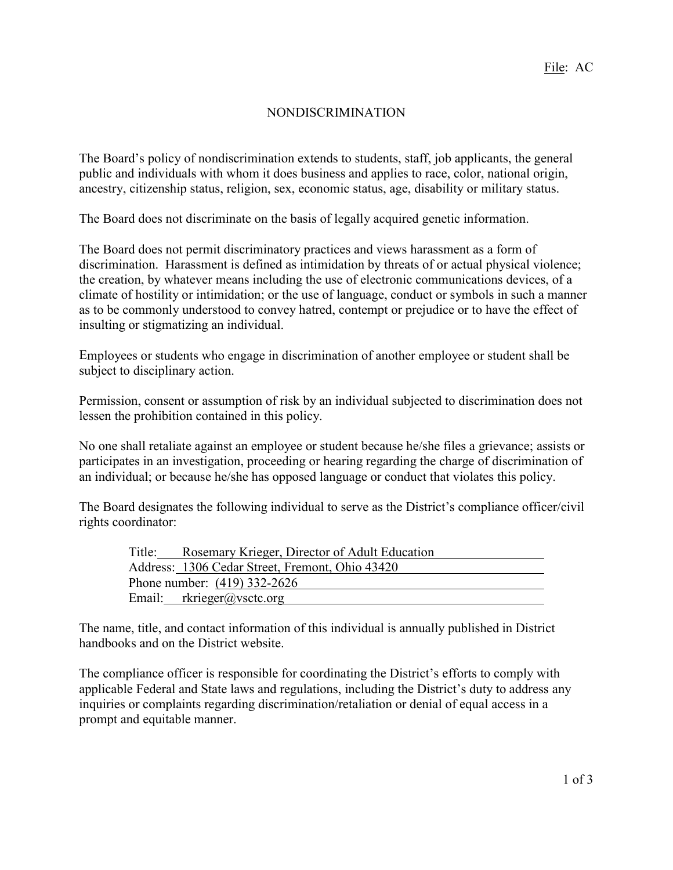## NONDISCRIMINATION

The Board's policy of nondiscrimination extends to students, staff, job applicants, the general public and individuals with whom it does business and applies to race, color, national origin, ancestry, citizenship status, religion, sex, economic status, age, disability or military status.

The Board does not discriminate on the basis of legally acquired genetic information.

The Board does not permit discriminatory practices and views harassment as a form of discrimination. Harassment is defined as intimidation by threats of or actual physical violence; the creation, by whatever means including the use of electronic communications devices, of a climate of hostility or intimidation; or the use of language, conduct or symbols in such a manner as to be commonly understood to convey hatred, contempt or prejudice or to have the effect of insulting or stigmatizing an individual.

Employees or students who engage in discrimination of another employee or student shall be subject to disciplinary action.

Permission, consent or assumption of risk by an individual subjected to discrimination does not lessen the prohibition contained in this policy.

No one shall retaliate against an employee or student because he/she files a grievance; assists or participates in an investigation, proceeding or hearing regarding the charge of discrimination of an individual; or because he/she has opposed language or conduct that violates this policy.

The Board designates the following individual to serve as the District's compliance officer/civil rights coordinator:

|                              | Title: Rosemary Krieger, Director of Adult Education |  |  |
|------------------------------|------------------------------------------------------|--|--|
|                              | Address: 1306 Cedar Street, Fremont, Ohio 43420      |  |  |
| Phone number: (419) 332-2626 |                                                      |  |  |
|                              | Email: rkrieger@vsctc.org                            |  |  |

The name, title, and contact information of this individual is annually published in District handbooks and on the District website.

The compliance officer is responsible for coordinating the District's efforts to comply with applicable Federal and State laws and regulations, including the District's duty to address any inquiries or complaints regarding discrimination/retaliation or denial of equal access in a prompt and equitable manner.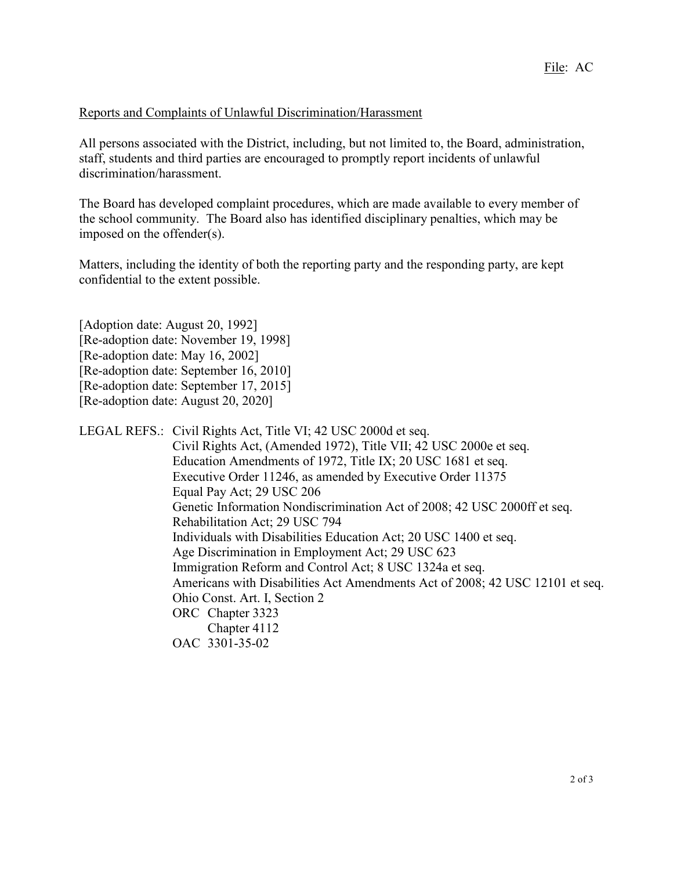## Reports and Complaints of Unlawful Discrimination/Harassment

All persons associated with the District, including, but not limited to, the Board, administration, staff, students and third parties are encouraged to promptly report incidents of unlawful discrimination/harassment.

The Board has developed complaint procedures, which are made available to every member of the school community. The Board also has identified disciplinary penalties, which may be imposed on the offender(s).

Matters, including the identity of both the reporting party and the responding party, are kept confidential to the extent possible.

[Adoption date: August 20, 1992] [Re-adoption date: November 19, 1998] [Re-adoption date: May 16, 2002] [Re-adoption date: September 16, 2010] [Re-adoption date: September 17, 2015] [Re-adoption date: August 20, 2020]

LEGAL REFS.: Civil Rights Act, Title VI; 42 USC 2000d et seq. Civil Rights Act, (Amended 1972), Title VII; 42 USC 2000e et seq. Education Amendments of 1972, Title IX; 20 USC 1681 et seq. Executive Order 11246, as amended by Executive Order 11375 Equal Pay Act; 29 USC 206 Genetic Information Nondiscrimination Act of 2008; 42 USC 2000ff et seq. Rehabilitation Act; 29 USC 794 Individuals with Disabilities Education Act; 20 USC 1400 et seq. Age Discrimination in Employment Act; 29 USC 623 Immigration Reform and Control Act; 8 USC 1324a et seq. Americans with Disabilities Act Amendments Act of 2008; 42 USC 12101 et seq. Ohio Const. Art. I, Section 2 ORC Chapter 3323 Chapter 4112 OAC 3301-35-02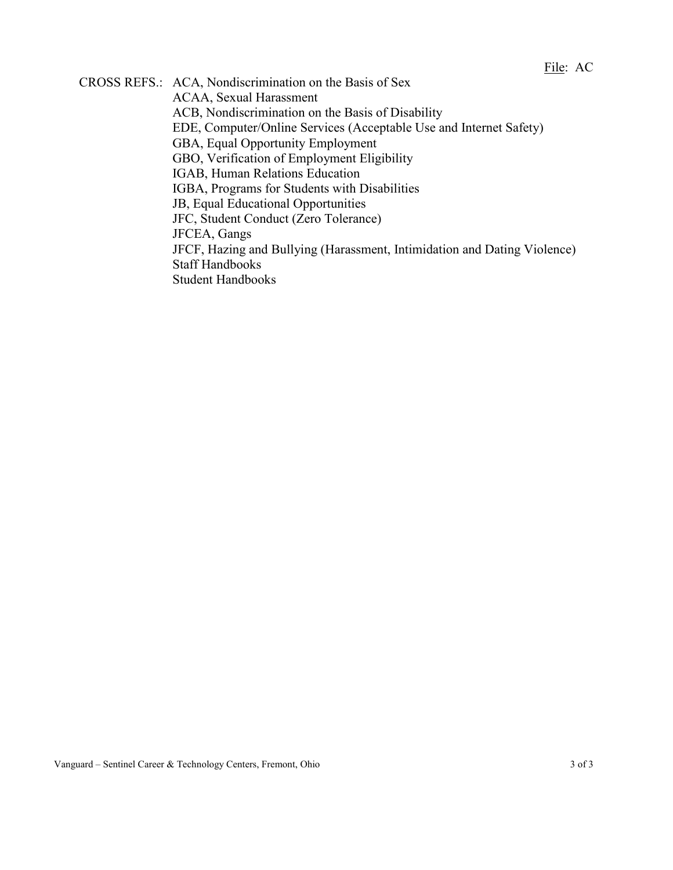CROSS REFS.: ACA, Nondiscrimination on the Basis of Sex ACAA, Sexual Harassment ACB, Nondiscrimination on the Basis of Disability EDE, Computer/Online Services (Acceptable Use and Internet Safety) GBA, Equal Opportunity Employment GBO, Verification of Employment Eligibility IGAB, Human Relations Education IGBA, Programs for Students with Disabilities JB, Equal Educational Opportunities JFC, Student Conduct (Zero Tolerance) JFCEA, Gangs JFCF, Hazing and Bullying (Harassment, Intimidation and Dating Violence) Staff Handbooks Student Handbooks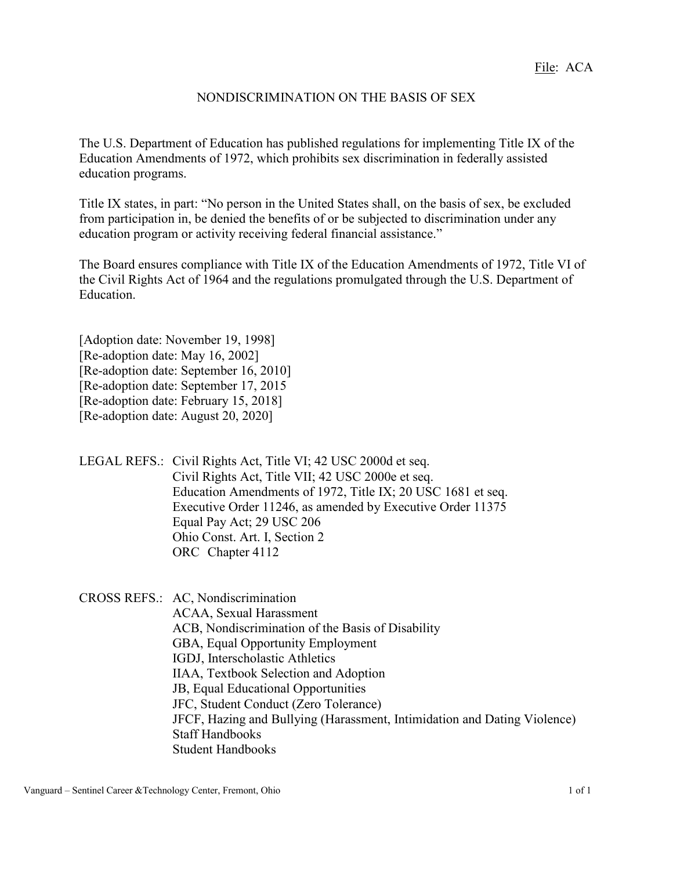## NONDISCRIMINATION ON THE BASIS OF SEX

The U.S. Department of Education has published regulations for implementing Title IX of the Education Amendments of 1972, which prohibits sex discrimination in federally assisted education programs.

Title IX states, in part: "No person in the United States shall, on the basis of sex, be excluded from participation in, be denied the benefits of or be subjected to discrimination under any education program or activity receiving federal financial assistance."

The Board ensures compliance with Title IX of the Education Amendments of 1972, Title VI of the Civil Rights Act of 1964 and the regulations promulgated through the U.S. Department of Education.

[Adoption date: November 19, 1998] [Re-adoption date: May 16, 2002] [Re-adoption date: September 16, 2010] [Re-adoption date: September 17, 2015 [Re-adoption date: February 15, 2018] [Re-adoption date: August 20, 2020]

LEGAL REFS.: Civil Rights Act, Title VI; 42 USC 2000d et seq. Civil Rights Act, Title VII; 42 USC 2000e et seq. Education Amendments of 1972, Title IX; 20 USC 1681 et seq. Executive Order 11246, as amended by Executive Order 11375 Equal Pay Act; 29 USC 206 Ohio Const. Art. I, Section 2 ORC Chapter 4112

CROSS REFS.: AC, Nondiscrimination ACAA, Sexual Harassment ACB, Nondiscrimination of the Basis of Disability GBA, Equal Opportunity Employment IGDJ, Interscholastic Athletics IIAA, Textbook Selection and Adoption JB, Equal Educational Opportunities JFC, Student Conduct (Zero Tolerance) JFCF, Hazing and Bullying (Harassment, Intimidation and Dating Violence) Staff Handbooks Student Handbooks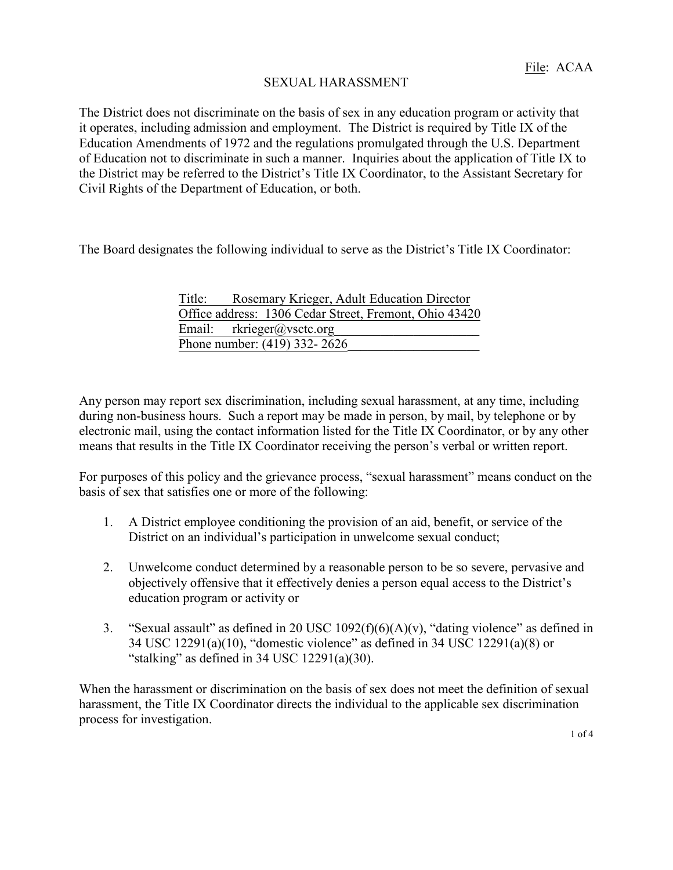## SEXUAL HARASSMENT

The District does not discriminate on the basis of sex in any education program or activity that it operates, including admission and employment. The District is required by Title IX of the Education Amendments of 1972 and the regulations promulgated through the U.S. Department of Education not to discriminate in such a manner. Inquiries about the application of Title IX to the District may be referred to the District's Title IX Coordinator, to the Assistant Secretary for Civil Rights of the Department of Education, or both.

The Board designates the following individual to serve as the District's Title IX Coordinator:

|                              | Title: Rosemary Krieger, Adult Education Director      |  |  |  |
|------------------------------|--------------------------------------------------------|--|--|--|
|                              | Office address: 1306 Cedar Street, Fremont, Ohio 43420 |  |  |  |
|                              | Email: $rkrieger@vsectc.org$                           |  |  |  |
| Phone number: (419) 332-2626 |                                                        |  |  |  |

Any person may report sex discrimination, including sexual harassment, at any time, including during non-business hours. Such a report may be made in person, by mail, by telephone or by electronic mail, using the contact information listed for the Title IX Coordinator, or by any other means that results in the Title IX Coordinator receiving the person's verbal or written report.

For purposes of this policy and the grievance process, "sexual harassment" means conduct on the basis of sex that satisfies one or more of the following:

- 1. A District employee conditioning the provision of an aid, benefit, or service of the District on an individual's participation in unwelcome sexual conduct;
- 2. Unwelcome conduct determined by a reasonable person to be so severe, pervasive and objectively offensive that it effectively denies a person equal access to the District's education program or activity or
- 3. "Sexual assault" as defined in 20 USC  $1092(f)(6)(A)(v)$ , "dating violence" as defined in 34 USC 12291(a)(10), "domestic violence" as defined in 34 USC 12291(a)(8) or "stalking" as defined in  $34$  USC  $12291(a)(30)$ .

When the harassment or discrimination on the basis of sex does not meet the definition of sexual harassment, the Title IX Coordinator directs the individual to the applicable sex discrimination process for investigation.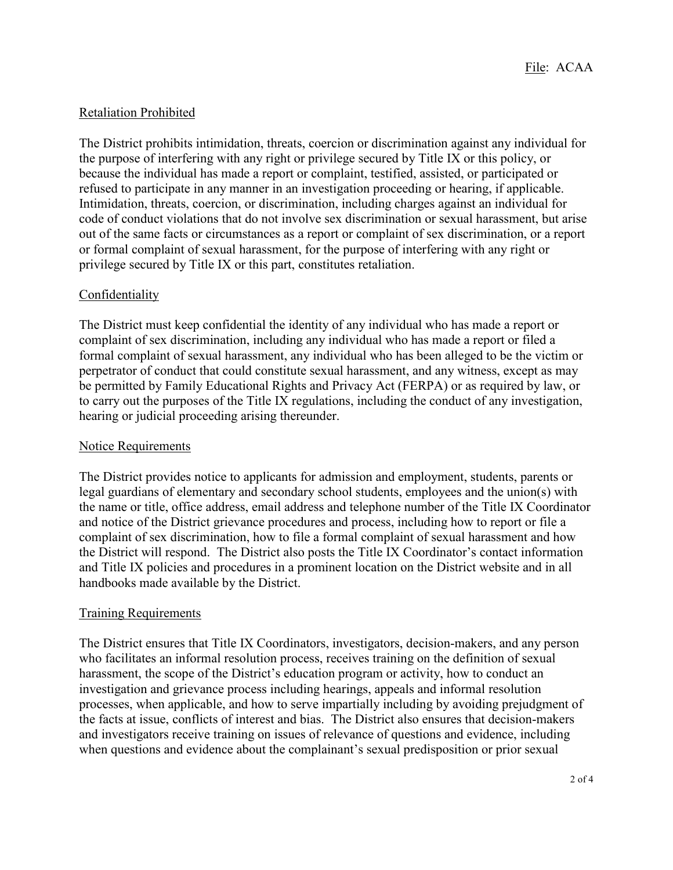## Retaliation Prohibited

The District prohibits intimidation, threats, coercion or discrimination against any individual for the purpose of interfering with any right or privilege secured by Title IX or this policy, or because the individual has made a report or complaint, testified, assisted, or participated or refused to participate in any manner in an investigation proceeding or hearing, if applicable. Intimidation, threats, coercion, or discrimination, including charges against an individual for code of conduct violations that do not involve sex discrimination or sexual harassment, but arise out of the same facts or circumstances as a report or complaint of sex discrimination, or a report or formal complaint of sexual harassment, for the purpose of interfering with any right or privilege secured by Title IX or this part, constitutes retaliation.

## **Confidentiality**

The District must keep confidential the identity of any individual who has made a report or complaint of sex discrimination, including any individual who has made a report or filed a formal complaint of sexual harassment, any individual who has been alleged to be the victim or perpetrator of conduct that could constitute sexual harassment, and any witness, except as may be permitted by Family Educational Rights and Privacy Act (FERPA) or as required by law, or to carry out the purposes of the Title IX regulations, including the conduct of any investigation, hearing or judicial proceeding arising thereunder.

### Notice Requirements

The District provides notice to applicants for admission and employment, students, parents or legal guardians of elementary and secondary school students, employees and the union(s) with the name or title, office address, email address and telephone number of the Title IX Coordinator and notice of the District grievance procedures and process, including how to report or file a complaint of sex discrimination, how to file a formal complaint of sexual harassment and how the District will respond. The District also posts the Title IX Coordinator's contact information and Title IX policies and procedures in a prominent location on the District website and in all handbooks made available by the District.

### Training Requirements

The District ensures that Title IX Coordinators, investigators, decision-makers, and any person who facilitates an informal resolution process, receives training on the definition of sexual harassment, the scope of the District's education program or activity, how to conduct an investigation and grievance process including hearings, appeals and informal resolution processes, when applicable, and how to serve impartially including by avoiding prejudgment of the facts at issue, conflicts of interest and bias. The District also ensures that decision-makers and investigators receive training on issues of relevance of questions and evidence, including when questions and evidence about the complainant's sexual predisposition or prior sexual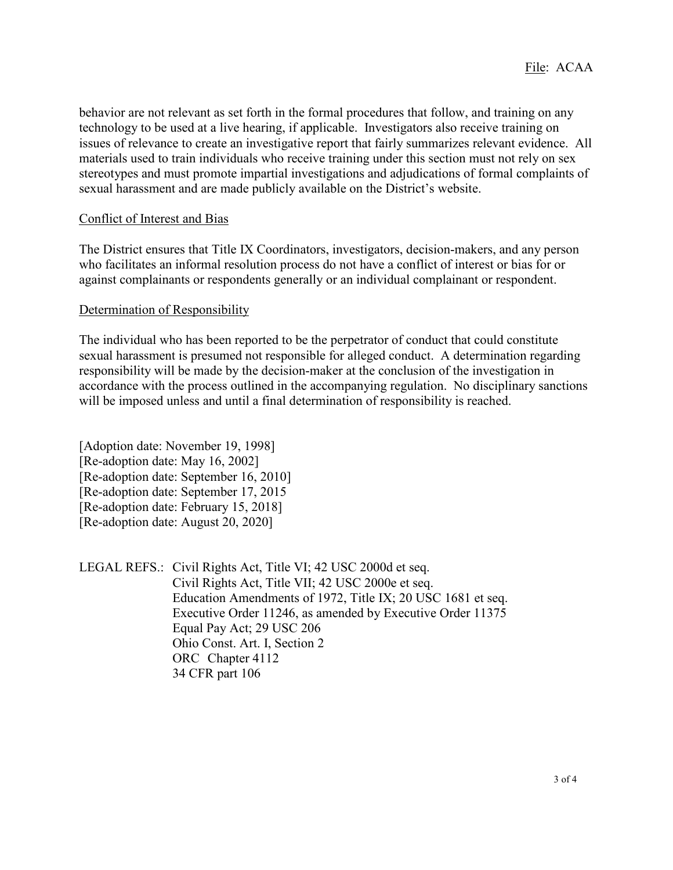behavior are not relevant as set forth in the formal procedures that follow, and training on any technology to be used at a live hearing, if applicable. Investigators also receive training on issues of relevance to create an investigative report that fairly summarizes relevant evidence. All materials used to train individuals who receive training under this section must not rely on sex stereotypes and must promote impartial investigations and adjudications of formal complaints of sexual harassment and are made publicly available on the District's website.

#### Conflict of Interest and Bias

The District ensures that Title IX Coordinators, investigators, decision-makers, and any person who facilitates an informal resolution process do not have a conflict of interest or bias for or against complainants or respondents generally or an individual complainant or respondent.

#### Determination of Responsibility

The individual who has been reported to be the perpetrator of conduct that could constitute sexual harassment is presumed not responsible for alleged conduct. A determination regarding responsibility will be made by the decision-maker at the conclusion of the investigation in accordance with the process outlined in the accompanying regulation. No disciplinary sanctions will be imposed unless and until a final determination of responsibility is reached.

[Adoption date: November 19, 1998] [Re-adoption date: May 16, 2002] [Re-adoption date: September 16, 2010] [Re-adoption date: September 17, 2015 [Re-adoption date: February 15, 2018] [Re-adoption date: August 20, 2020]

LEGAL REFS.: Civil Rights Act, Title VI; 42 USC 2000d et seq. Civil Rights Act, Title VII; 42 USC 2000e et seq. Education Amendments of 1972, Title IX; 20 USC 1681 et seq. Executive Order 11246, as amended by Executive Order 11375 Equal Pay Act; 29 USC 206 Ohio Const. Art. I, Section 2 ORC Chapter 4112 34 CFR part 106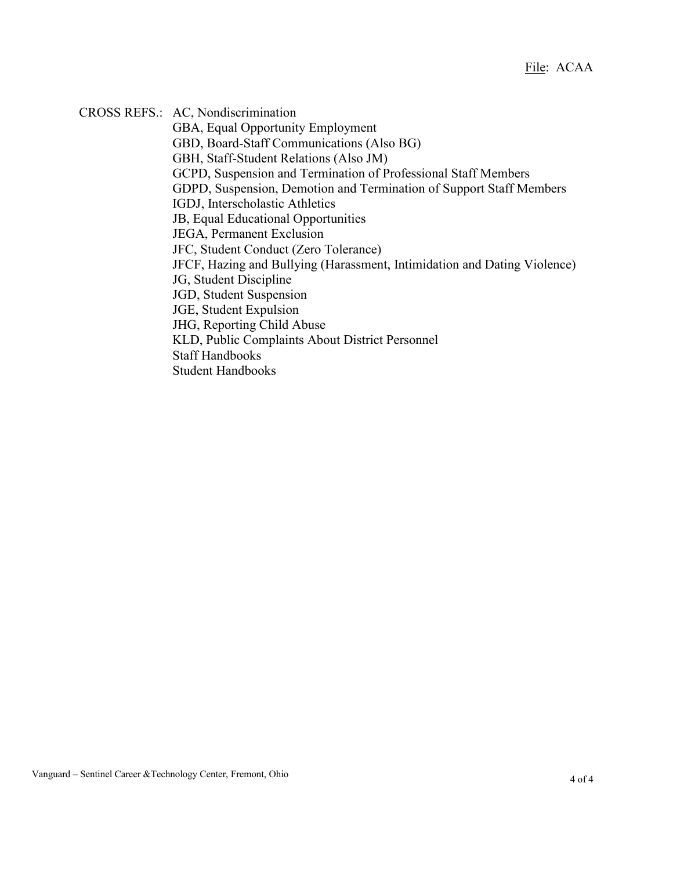CROSS REFS.: AC, Nondiscrimination

GBA, Equal Opportunity Employment GBD, Board-Staff Communications (Also BG) GBH, Staff-Student Relations (Also JM) GCPD, Suspension and Termination of Professional Staff Members GDPD, Suspension, Demotion and Termination of Support Staff Members IGDJ, Interscholastic Athletics JB, Equal Educational Opportunities JEGA, Permanent Exclusion JFC, Student Conduct (Zero Tolerance) JFCF, Hazing and Bullying (Harassment, Intimidation and Dating Violence) JG, Student Discipline JGD, Student Suspension JGE, Student Expulsion JHG, Reporting Child Abuse KLD, Public Complaints About District Personnel Staff Handbooks Student Handbooks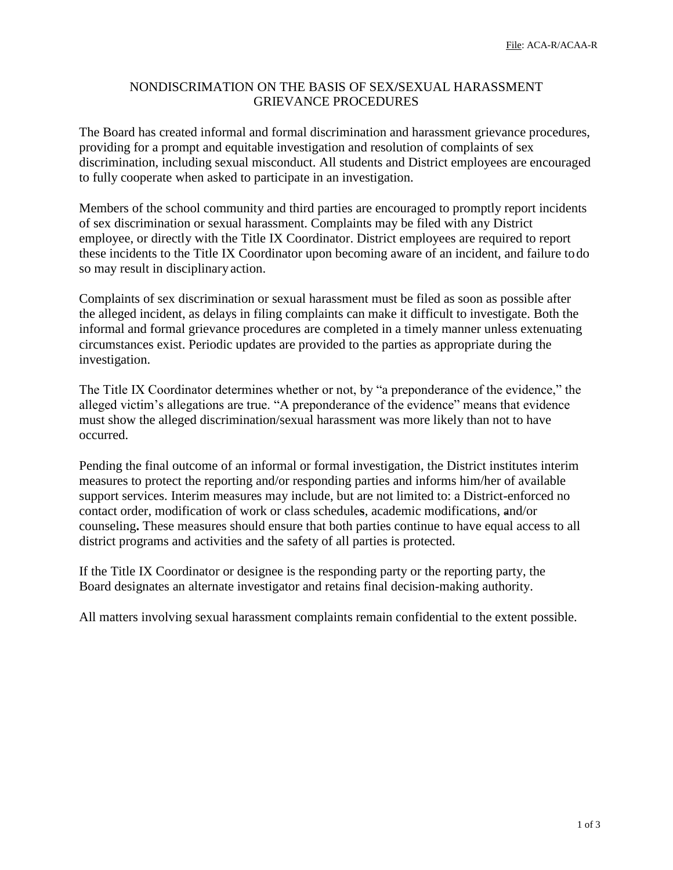## NONDISCRIMATION ON THE BASIS OF SEX**/**SEXUAL HARASSMENT GRIEVANCE PROCEDURES

The Board has created informal and formal discrimination and harassment grievance procedures, providing for a prompt and equitable investigation and resolution of complaints of sex discrimination, including sexual misconduct. All students and District employees are encouraged to fully cooperate when asked to participate in an investigation.

Members of the school community and third parties are encouraged to promptly report incidents of sex discrimination or sexual harassment. Complaints may be filed with any District employee, or directly with the Title IX Coordinator. District employees are required to report these incidents to the Title IX Coordinator upon becoming aware of an incident, and failure todo so may result in disciplinary action.

Complaints of sex discrimination or sexual harassment must be filed as soon as possible after the alleged incident, as delays in filing complaints can make it difficult to investigate. Both the informal and formal grievance procedures are completed in a timely manner unless extenuating circumstances exist. Periodic updates are provided to the parties as appropriate during the investigation.

The Title IX Coordinator determines whether or not, by "a preponderance of the evidence," the alleged victim's allegations are true. "A preponderance of the evidence" means that evidence must show the alleged discrimination/sexual harassment was more likely than not to have occurred.

Pending the final outcome of an informal or formal investigation, the District institutes interim measures to protect the reporting and/or responding parties and informs him/her of available support services. Interim measures may include, but are not limited to: a District-enforced no contact order, modification of work or class schedule**s**, academic modifications, and/or counseling**.** These measures should ensure that both parties continue to have equal access to all district programs and activities and the safety of all parties is protected.

If the Title IX Coordinator or designee is the responding party or the reporting party, the Board designates an alternate investigator and retains final decision-making authority.

All matters involving sexual harassment complaints remain confidential to the extent possible.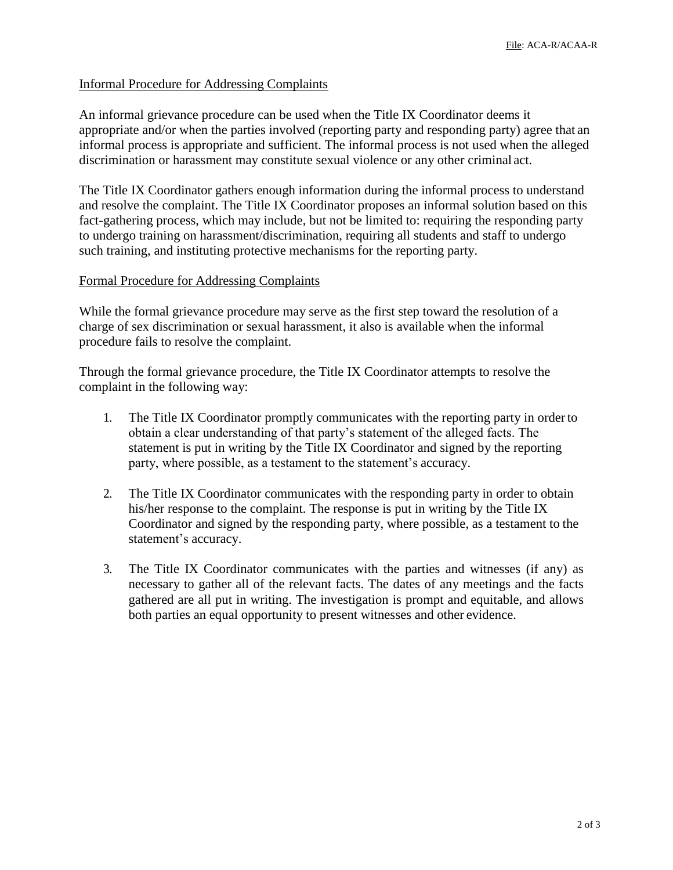### Informal Procedure for Addressing Complaints

An informal grievance procedure can be used when the Title IX Coordinator deems it appropriate and/or when the parties involved (reporting party and responding party) agree that an informal process is appropriate and sufficient. The informal process is not used when the alleged discrimination or harassment may constitute sexual violence or any other criminal act.

The Title IX Coordinator gathers enough information during the informal process to understand and resolve the complaint. The Title IX Coordinator proposes an informal solution based on this fact-gathering process, which may include, but not be limited to: requiring the responding party to undergo training on harassment/discrimination, requiring all students and staff to undergo such training, and instituting protective mechanisms for the reporting party.

#### Formal Procedure for Addressing Complaints

While the formal grievance procedure may serve as the first step toward the resolution of a charge of sex discrimination or sexual harassment, it also is available when the informal procedure fails to resolve the complaint.

Through the formal grievance procedure, the Title IX Coordinator attempts to resolve the complaint in the following way:

- 1. The Title IX Coordinator promptly communicates with the reporting party in orderto obtain a clear understanding of that party's statement of the alleged facts. The statement is put in writing by the Title IX Coordinator and signed by the reporting party, where possible, as a testament to the statement's accuracy.
- 2. The Title IX Coordinator communicates with the responding party in order to obtain his/her response to the complaint. The response is put in writing by the Title IX Coordinator and signed by the responding party, where possible, as a testament to the statement's accuracy.
- 3. The Title IX Coordinator communicates with the parties and witnesses (if any) as necessary to gather all of the relevant facts. The dates of any meetings and the facts gathered are all put in writing. The investigation is prompt and equitable, and allows both parties an equal opportunity to present witnesses and other evidence.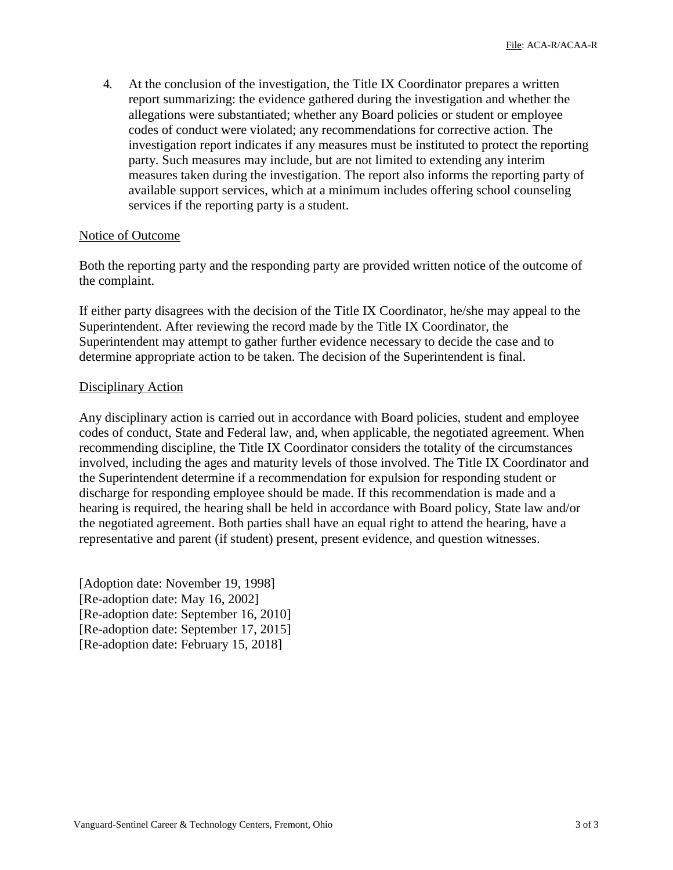4. At the conclusion of the investigation, the Title IX Coordinator prepares a written report summarizing: the evidence gathered during the investigation and whether the allegations were substantiated; whether any Board policies or student or employee codes of conduct were violated; any recommendations for corrective action. The investigation report indicates if any measures must be instituted to protect the reporting party. Such measures may include, but are not limited to extending any interim measures taken during the investigation. The report also informs the reporting party of available support services, which at a minimum includes offering school counseling services if the reporting party is a student.

#### Notice of Outcome

Both the reporting party and the responding party are provided written notice of the outcome of the complaint.

If either party disagrees with the decision of the Title IX Coordinator, he/she may appeal to the Superintendent. After reviewing the record made by the Title IX Coordinator, the Superintendent may attempt to gather further evidence necessary to decide the case and to determine appropriate action to be taken. The decision of the Superintendent is final.

#### Disciplinary Action

Any disciplinary action is carried out in accordance with Board policies, student and employee codes of conduct, State and Federal law, and, when applicable, the negotiated agreement. When recommending discipline, the Title IX Coordinator considers the totality of the circumstances involved, including the ages and maturity levels of those involved. The Title IX Coordinator and the Superintendent determine if a recommendation for expulsion for responding student or discharge for responding employee should be made. If this recommendation is made and a hearing is required, the hearing shall be held in accordance with Board policy, State law and/or the negotiated agreement. Both parties shall have an equal right to attend the hearing, have a representative and parent (if student) present, present evidence, and question witnesses.

[Adoption date: November 19, 1998] [Re-adoption date: May 16, 2002] [Re-adoption date: September 16, 2010] [Re-adoption date: September 17, 2015] [Re-adoption date: February 15, 2018]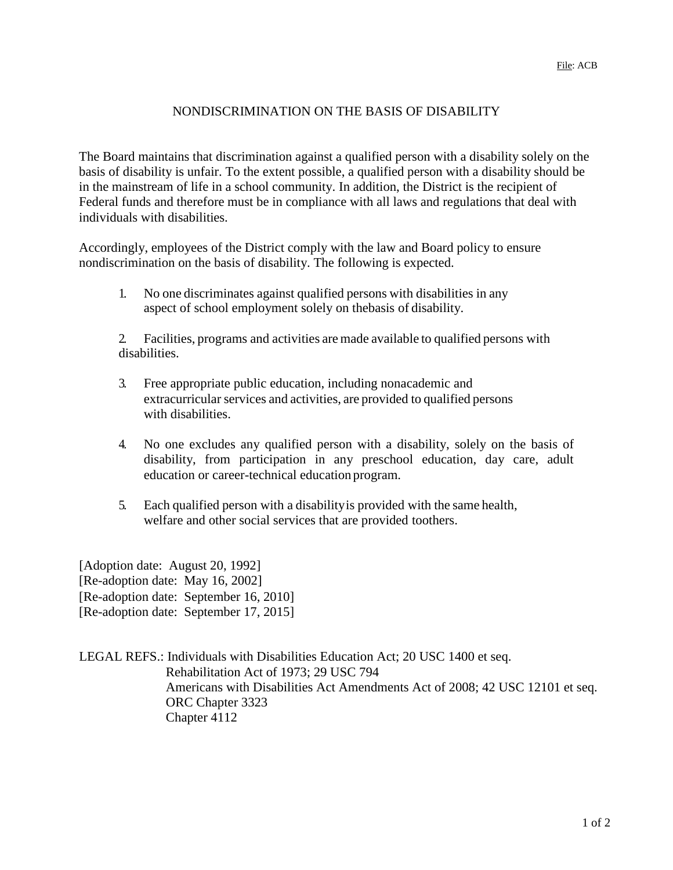## NONDISCRIMINATION ON THE BASIS OF DISABILITY

The Board maintains that discrimination against a qualified person with a disability solely on the basis of disability is unfair. To the extent possible, a qualified person with a disability should be in the mainstream of life in a school community. In addition, the District is the recipient of Federal funds and therefore must be in compliance with all laws and regulations that deal with individuals with disabilities.

Accordingly, employees of the District comply with the law and Board policy to ensure nondiscrimination on the basis of disability. The following is expected.

1. No one discriminates against qualified persons with disabilities in any aspect of school employment solely on thebasis of disability.

2. Facilities, programs and activities are made available to qualified persons with disabilities.

- 3. Free appropriate public education, including nonacademic and extracurricular services and activities, are provided to qualified persons with disabilities.
- 4. No one excludes any qualified person with a disability, solely on the basis of disability, from participation in any preschool education, day care, adult education or career-technical education program.
- 5. Each qualified person with a disabilityis provided with the same health, welfare and other social services that are provided toothers.

[Adoption date: August 20, 1992] [Re-adoption date: May 16, 2002] [Re-adoption date: September 16, 2010] [Re-adoption date: September 17, 2015]

LEGAL REFS.: Individuals with Disabilities Education Act; 20 USC 1400 et seq. Rehabilitation Act of 1973; 29 USC 794 Americans with Disabilities Act Amendments Act of 2008; 42 USC 12101 et seq. ORC Chapter 3323 Chapter 4112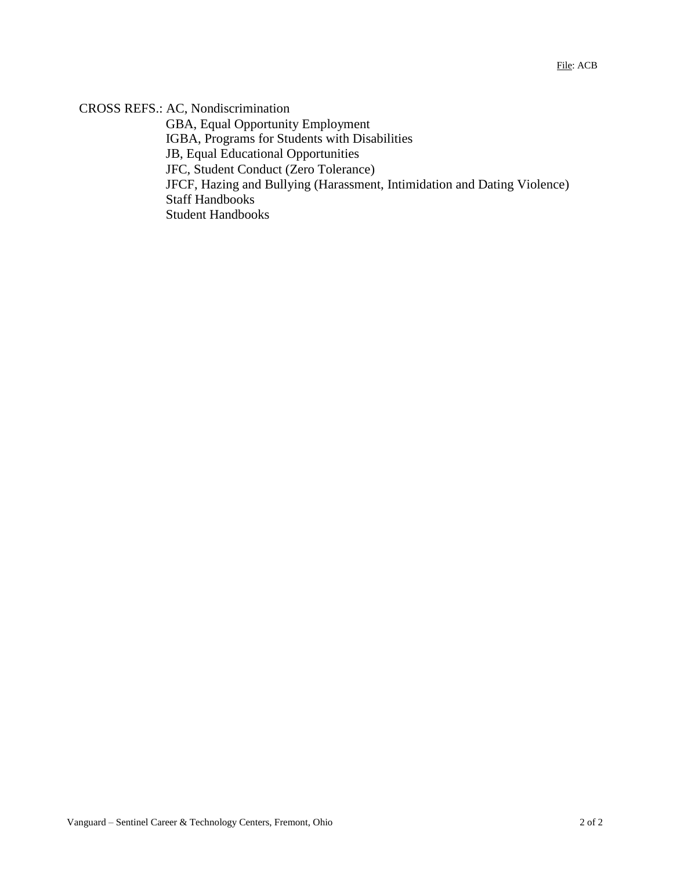CROSS REFS.: AC, Nondiscrimination

GBA, Equal Opportunity Employment IGBA, Programs for Students with Disabilities JB, Equal Educational Opportunities JFC, Student Conduct (Zero Tolerance) JFCF, Hazing and Bullying (Harassment, Intimidation and Dating Violence) Staff Handbooks Student Handbooks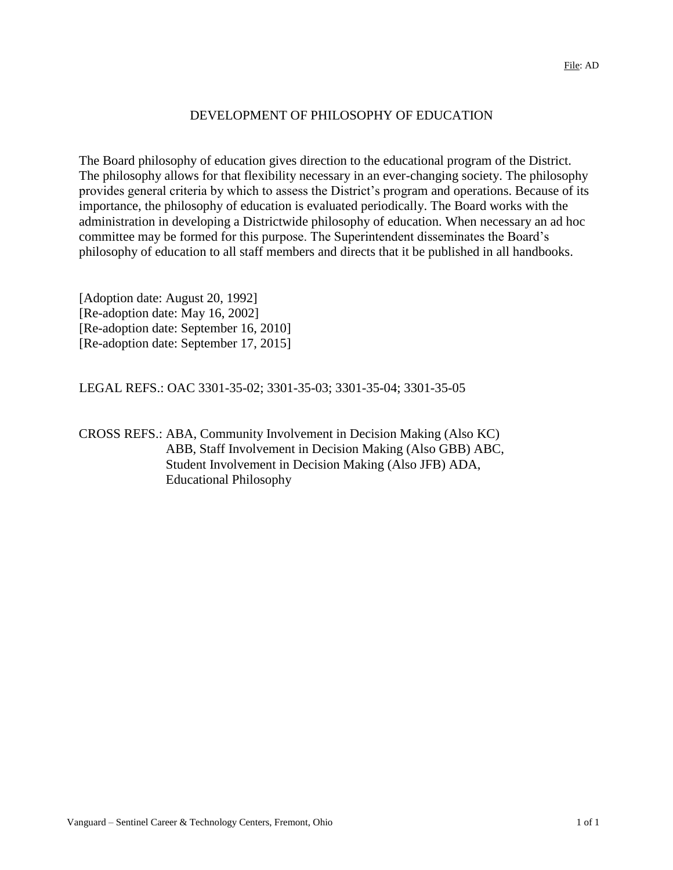### DEVELOPMENT OF PHILOSOPHY OF EDUCATION

The Board philosophy of education gives direction to the educational program of the District. The philosophy allows for that flexibility necessary in an ever-changing society. The philosophy provides general criteria by which to assess the District's program and operations. Because of its importance, the philosophy of education is evaluated periodically. The Board works with the administration in developing a Districtwide philosophy of education. When necessary an ad hoc committee may be formed for this purpose. The Superintendent disseminates the Board's philosophy of education to all staff members and directs that it be published in all handbooks.

[Adoption date: August 20, 1992] [Re-adoption date: May 16, 2002] [Re-adoption date: September 16, 2010] [Re-adoption date: September 17, 2015]

LEGAL REFS.: OAC 3301-35-02; 3301-35-03; 3301-35-04; 3301-35-05

CROSS REFS.: ABA, Community Involvement in Decision Making (Also KC) ABB, Staff Involvement in Decision Making (Also GBB) ABC, Student Involvement in Decision Making (Also JFB) ADA, Educational Philosophy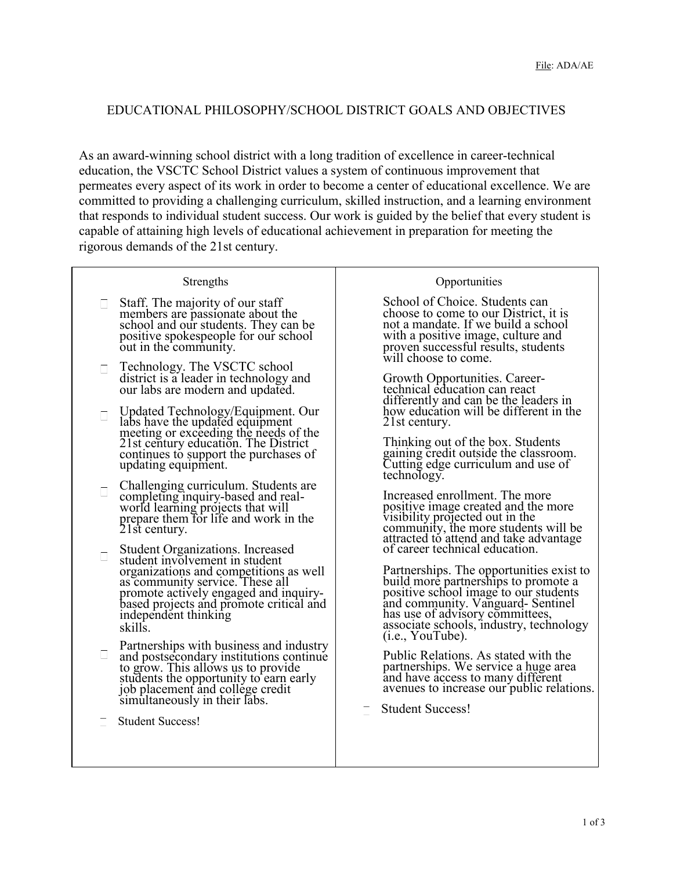## EDUCATIONAL PHILOSOPHY/SCHOOL DISTRICT GOALS AND OBJECTIVES

As an award-winning school district with a long tradition of excellence in career-technical education, the VSCTC School District values a system of continuous improvement that permeates every aspect of its work in order to become a center of educational excellence. We are committed to providing a challenging curriculum, skilled instruction, and a learning environment that responds to individual student success. Our work is guided by the belief that every student is capable of attaining high levels of educational achievement in preparation for meeting the rigorous demands of the 21st century.

| Strengths                                                                                                                                                                                                                                                                     | Opportunities                                                                                                                                                                                                                                                                                                                                                                                                                                                                                                                                                                                                                                                                                                                                                                                                                                                                                                                       |  |
|-------------------------------------------------------------------------------------------------------------------------------------------------------------------------------------------------------------------------------------------------------------------------------|-------------------------------------------------------------------------------------------------------------------------------------------------------------------------------------------------------------------------------------------------------------------------------------------------------------------------------------------------------------------------------------------------------------------------------------------------------------------------------------------------------------------------------------------------------------------------------------------------------------------------------------------------------------------------------------------------------------------------------------------------------------------------------------------------------------------------------------------------------------------------------------------------------------------------------------|--|
| Staff. The majority of our staff<br>members are passionate about the<br>school and our students. They can be<br>positive spokespeople for our school<br>out in the community.                                                                                                 | School of Choice. Students can<br>choose to come to our District, it is<br>not a mandate. If we build a school<br>with a positive image, culture and<br>proven successful results, students<br>will choose to come.                                                                                                                                                                                                                                                                                                                                                                                                                                                                                                                                                                                                                                                                                                                 |  |
| Technology. The VSCTC school<br>district is a leader in technology and<br>our labs are modern and updated.                                                                                                                                                                    | Growth Opportunities. Career-<br>technical education can react                                                                                                                                                                                                                                                                                                                                                                                                                                                                                                                                                                                                                                                                                                                                                                                                                                                                      |  |
| Updated Technology/Equipment. Our<br>labs have the updated equipment<br>meeting or exceeding the needs of the<br>21st century education. The District<br>continues to support the purchases of<br>updating equipment.                                                         | differently and can be the leaders in<br>how education will be different in the<br>21st century.<br>Thinking out of the box. Students<br>gaining credit outside the classroom.<br>Cutting edge curriculum and use of<br>technology.<br>Increased enrollment. The more<br>positive image created and the more<br>visibility projected out in the<br>community, the more students will be<br>attracted to attend and take advantage<br>of career technical education.<br>Partnerships. The opportunities exist to<br>build more partnerships to promote a<br>positive school image to our students<br>and community. Vanguard-Sentinel<br>has use of advisory committees,<br>associate schools, industry, technology<br>(i.e., YouTube).<br>Public Relations. As stated with the<br>partnerships. We service a huge area<br>and have access to many different<br>avenues to increase our public relations.<br><b>Student Success!</b> |  |
| Challenging curriculum. Students are<br>$\Box$<br>completing inquiry-based and real-<br>world learning projects that will<br>prepare them for life and work in the<br>$21st$ century.                                                                                         |                                                                                                                                                                                                                                                                                                                                                                                                                                                                                                                                                                                                                                                                                                                                                                                                                                                                                                                                     |  |
| <b>Student Organizations. Increased</b><br>student involvement in student<br>organizations and competitions as well<br>as community service. These all<br>promote actively engaged and inquiry-<br>based projects and promote critical and<br>independent thinking<br>skills. |                                                                                                                                                                                                                                                                                                                                                                                                                                                                                                                                                                                                                                                                                                                                                                                                                                                                                                                                     |  |
| Partnerships with business and industry<br>and postsecondary institutions continue<br>to grow. This allows us to provide<br>students the opportunity to earn early<br>job placement and college credit<br>simultaneously in their labs.                                       |                                                                                                                                                                                                                                                                                                                                                                                                                                                                                                                                                                                                                                                                                                                                                                                                                                                                                                                                     |  |
| <b>Student Success!</b>                                                                                                                                                                                                                                                       |                                                                                                                                                                                                                                                                                                                                                                                                                                                                                                                                                                                                                                                                                                                                                                                                                                                                                                                                     |  |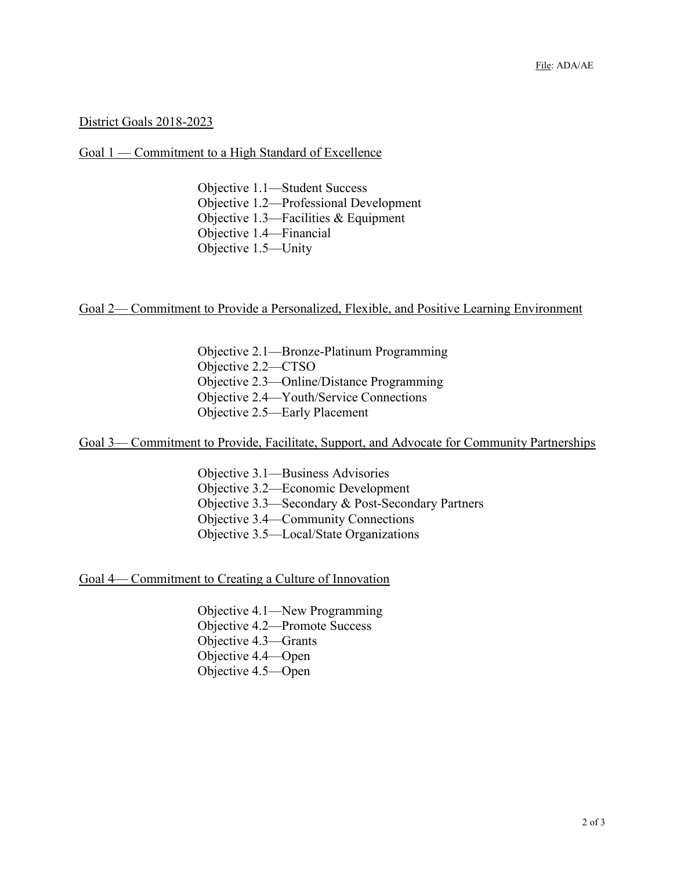#### District Goals 2018-2023

#### Goal 1 — Commitment to a High Standard of Excellence

Objective 1.1—Student Success Objective 1.2—Professional Development Objective 1.3—Facilities & Equipment Objective 1.4—Financial Objective 1.5—Unity

#### Goal 2— Commitment to Provide a Personalized, Flexible, and Positive Learning Environment

Objective 2.1—Bronze-Platinum Programming Objective 2.2—CTSO Objective 2.3—Online/Distance Programming Objective 2.4—Youth/Service Connections Objective 2.5—Early Placement

Goal 3— Commitment to Provide, Facilitate, Support, and Advocate for Community Partnerships

Objective 3.1—Business Advisories Objective 3.2—Economic Development Objective 3.3—Secondary & Post-Secondary Partners Objective 3.4—Community Connections Objective 3.5—Local/State Organizations

Goal 4— Commitment to Creating a Culture of Innovation

Objective 4.1—New Programming Objective 4.2—Promote Success Objective 4.3—Grants Objective 4.4—Open Objective 4.5—Open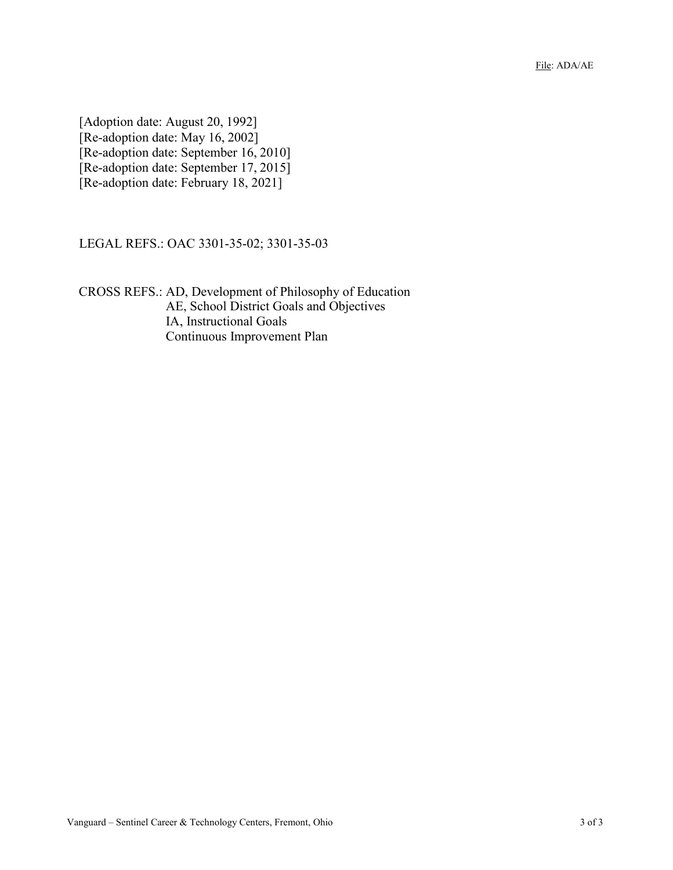[Adoption date: August 20, 1992] [Re-adoption date: May 16, 2002] [Re-adoption date: September 16, 2010] [Re-adoption date: September 17, 2015] [Re-adoption date: February 18, 2021]

LEGAL REFS.: OAC 3301-35-02; 3301-35-03

CROSS REFS.: AD, Development of Philosophy of Education AE, School District Goals and Objectives IA, Instructional Goals Continuous Improvement Plan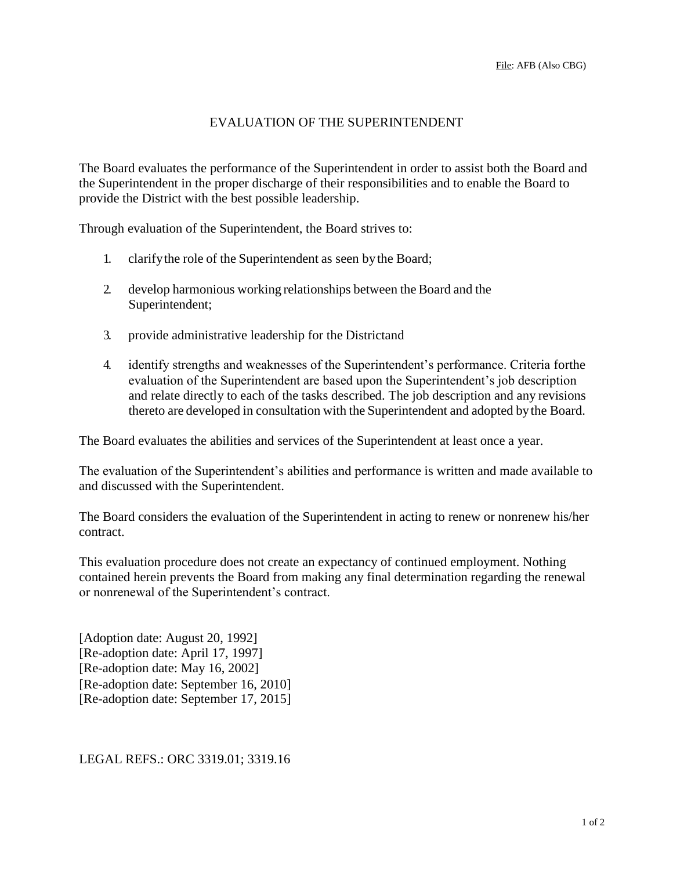## EVALUATION OF THE SUPERINTENDENT

The Board evaluates the performance of the Superintendent in order to assist both the Board and the Superintendent in the proper discharge of their responsibilities and to enable the Board to provide the District with the best possible leadership.

Through evaluation of the Superintendent, the Board strives to:

- 1. clarifythe role of the Superintendent as seen bythe Board;
- 2. develop harmonious working relationships between the Board and the Superintendent;
- 3. provide administrative leadership for the Districtand
- 4. identify strengths and weaknesses of the Superintendent's performance. Criteria forthe evaluation of the Superintendent are based upon the Superintendent's job description and relate directly to each of the tasks described. The job description and any revisions thereto are developed in consultation with the Superintendent and adopted bythe Board.

The Board evaluates the abilities and services of the Superintendent at least once a year.

The evaluation of the Superintendent's abilities and performance is written and made available to and discussed with the Superintendent.

The Board considers the evaluation of the Superintendent in acting to renew or nonrenew his/her contract.

This evaluation procedure does not create an expectancy of continued employment. Nothing contained herein prevents the Board from making any final determination regarding the renewal or nonrenewal of the Superintendent's contract.

[Adoption date: August 20, 1992] [Re-adoption date: April 17, 1997] [Re-adoption date: May 16, 2002] [Re-adoption date: September 16, 2010] [Re-adoption date: September 17, 2015]

LEGAL REFS.: ORC 3319.01; 3319.16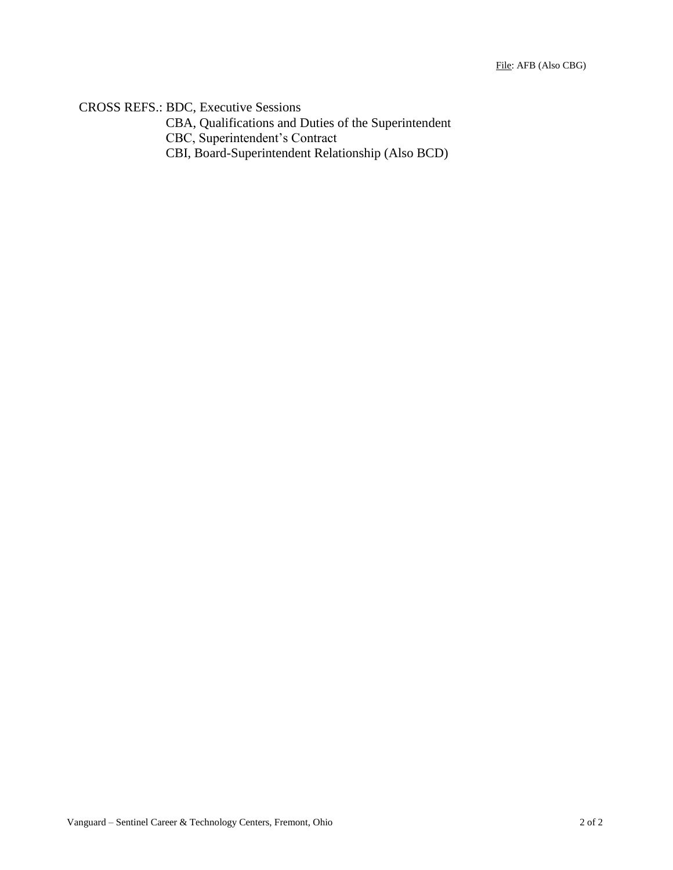CROSS REFS.: BDC, Executive Sessions

CBA, Qualifications and Duties of the Superintendent

CBC, Superintendent's Contract

CBI, Board-Superintendent Relationship (Also BCD)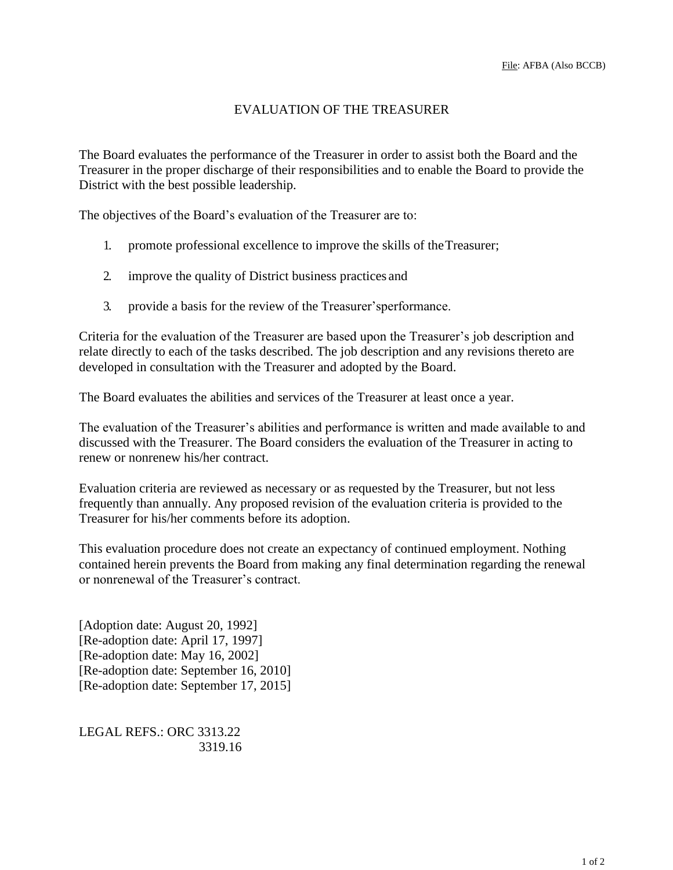## EVALUATION OF THE TREASURER

The Board evaluates the performance of the Treasurer in order to assist both the Board and the Treasurer in the proper discharge of their responsibilities and to enable the Board to provide the District with the best possible leadership.

The objectives of the Board's evaluation of the Treasurer are to:

- 1. promote professional excellence to improve the skills of theTreasurer;
- 2. improve the quality of District business practices and
- 3. provide a basis for the review of the Treasurer'sperformance.

Criteria for the evaluation of the Treasurer are based upon the Treasurer's job description and relate directly to each of the tasks described. The job description and any revisions thereto are developed in consultation with the Treasurer and adopted by the Board.

The Board evaluates the abilities and services of the Treasurer at least once a year.

The evaluation of the Treasurer's abilities and performance is written and made available to and discussed with the Treasurer. The Board considers the evaluation of the Treasurer in acting to renew or nonrenew his/her contract.

Evaluation criteria are reviewed as necessary or as requested by the Treasurer, but not less frequently than annually. Any proposed revision of the evaluation criteria is provided to the Treasurer for his/her comments before its adoption.

This evaluation procedure does not create an expectancy of continued employment. Nothing contained herein prevents the Board from making any final determination regarding the renewal or nonrenewal of the Treasurer's contract.

[Adoption date: August 20, 1992] [Re-adoption date: April 17, 1997] [Re-adoption date: May 16, 2002] [Re-adoption date: September 16, 2010] [Re-adoption date: September 17, 2015]

LEGAL REFS.: ORC 3313.22 3319.16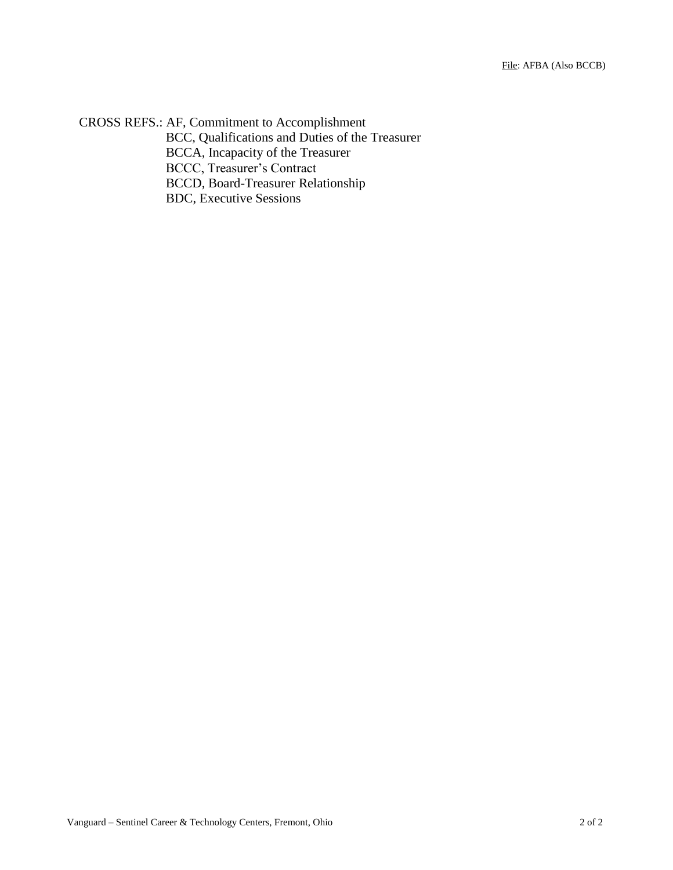CROSS REFS.: AF, Commitment to Accomplishment BCC, Qualifications and Duties of the Treasurer BCCA, Incapacity of the Treasurer BCCC, Treasurer's Contract BCCD, Board-Treasurer Relationship BDC, Executive Sessions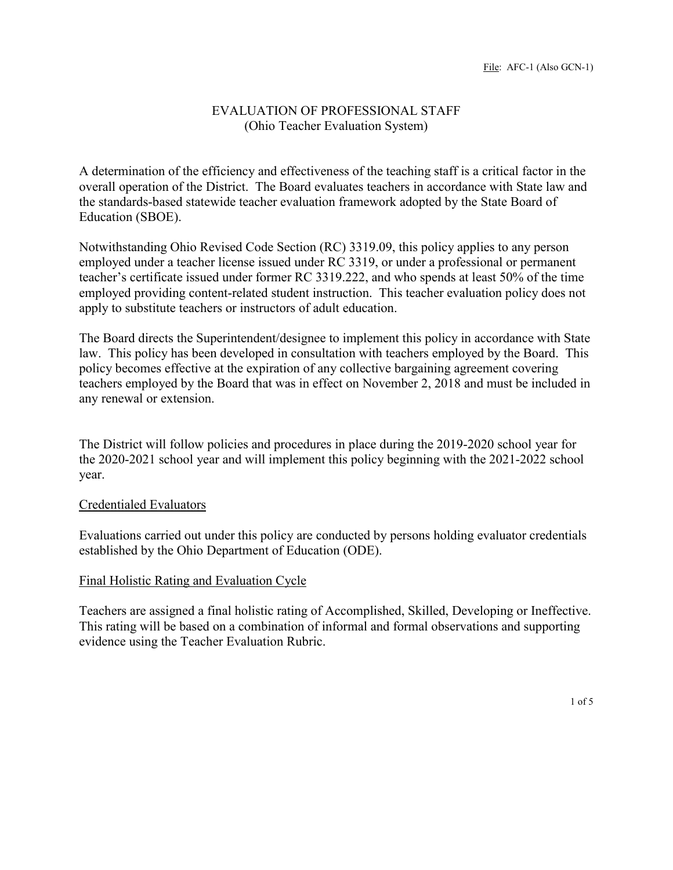### EVALUATION OF PROFESSIONAL STAFF (Ohio Teacher Evaluation System)

A determination of the efficiency and effectiveness of the teaching staff is a critical factor in the overall operation of the District. The Board evaluates teachers in accordance with State law and the standards-based statewide teacher evaluation framework adopted by the State Board of Education (SBOE).

Notwithstanding Ohio Revised Code Section (RC) 3319.09, this policy applies to any person employed under a teacher license issued under RC 3319, or under a professional or permanent teacher's certificate issued under former RC 3319.222, and who spends at least 50% of the time employed providing content-related student instruction. This teacher evaluation policy does not apply to substitute teachers or instructors of adult education.

The Board directs the Superintendent/designee to implement this policy in accordance with State law. This policy has been developed in consultation with teachers employed by the Board. This policy becomes effective at the expiration of any collective bargaining agreement covering teachers employed by the Board that was in effect on November 2, 2018 and must be included in any renewal or extension.

The District will follow policies and procedures in place during the 2019-2020 school year for the 2020-2021 school year and will implement this policy beginning with the 2021-2022 school year.

### Credentialed Evaluators

Evaluations carried out under this policy are conducted by persons holding evaluator credentials established by the Ohio Department of Education (ODE).

#### Final Holistic Rating and Evaluation Cycle

Teachers are assigned a final holistic rating of Accomplished, Skilled, Developing or Ineffective. This rating will be based on a combination of informal and formal observations and supporting evidence using the Teacher Evaluation Rubric.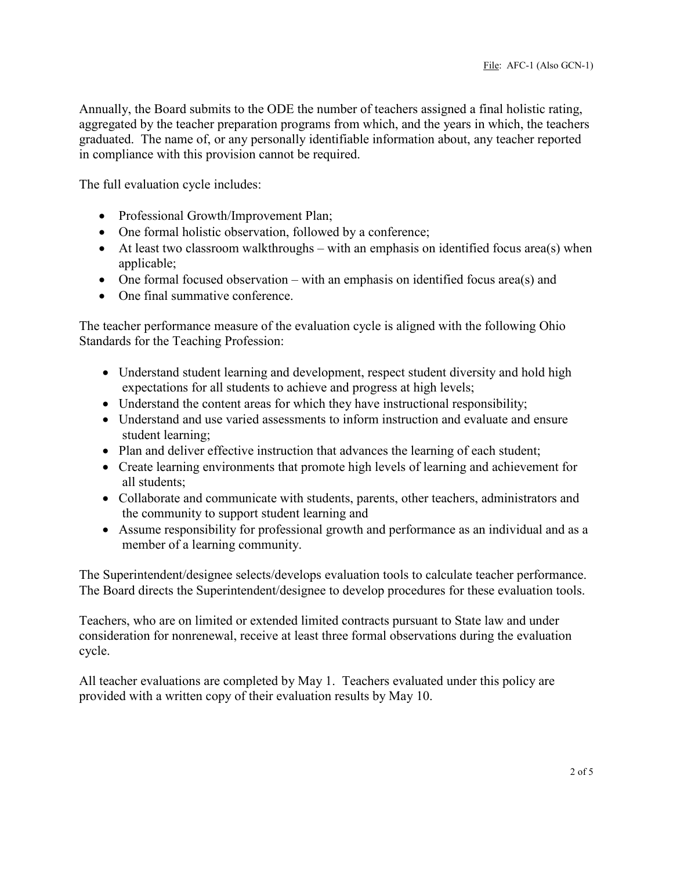Annually, the Board submits to the ODE the number of teachers assigned a final holistic rating, aggregated by the teacher preparation programs from which, and the years in which, the teachers graduated. The name of, or any personally identifiable information about, any teacher reported in compliance with this provision cannot be required.

The full evaluation cycle includes:

- Professional Growth/Improvement Plan;
- One formal holistic observation, followed by a conference;
- At least two classroom walkthroughs with an emphasis on identified focus area(s) when applicable;
- One formal focused observation with an emphasis on identified focus area(s) and
- One final summative conference.

The teacher performance measure of the evaluation cycle is aligned with the following Ohio Standards for the Teaching Profession:

- Understand student learning and development, respect student diversity and hold high expectations for all students to achieve and progress at high levels;
- Understand the content areas for which they have instructional responsibility;
- Understand and use varied assessments to inform instruction and evaluate and ensure student learning;
- Plan and deliver effective instruction that advances the learning of each student;
- Create learning environments that promote high levels of learning and achievement for all students;
- Collaborate and communicate with students, parents, other teachers, administrators and the community to support student learning and
- Assume responsibility for professional growth and performance as an individual and as a member of a learning community.

The Superintendent/designee selects/develops evaluation tools to calculate teacher performance. The Board directs the Superintendent/designee to develop procedures for these evaluation tools.

Teachers, who are on limited or extended limited contracts pursuant to State law and under consideration for nonrenewal, receive at least three formal observations during the evaluation cycle.

All teacher evaluations are completed by May 1. Teachers evaluated under this policy are provided with a written copy of their evaluation results by May 10.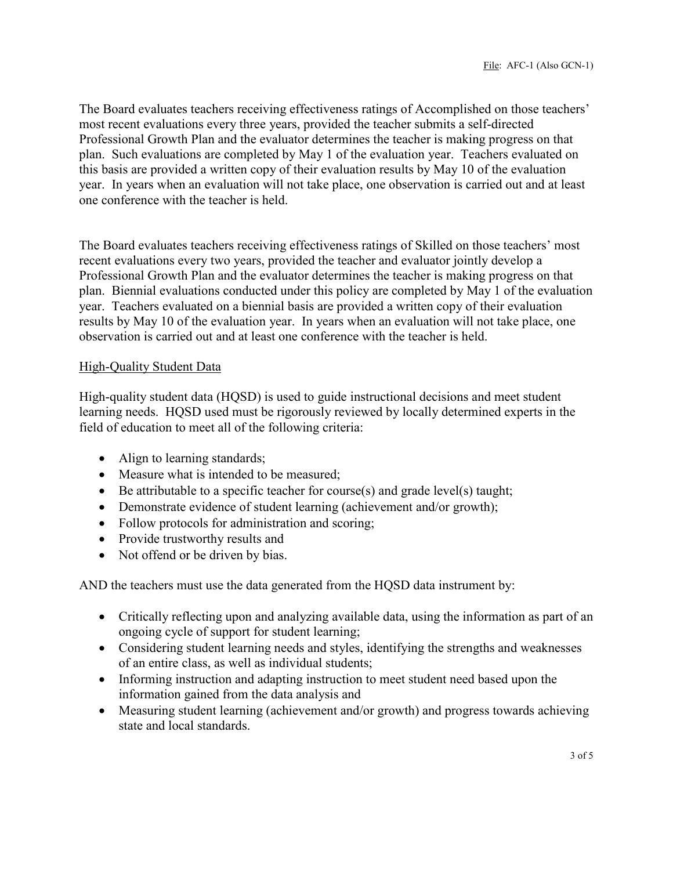The Board evaluates teachers receiving effectiveness ratings of Accomplished on those teachers' most recent evaluations every three years, provided the teacher submits a self-directed Professional Growth Plan and the evaluator determines the teacher is making progress on that plan. Such evaluations are completed by May 1 of the evaluation year. Teachers evaluated on this basis are provided a written copy of their evaluation results by May 10 of the evaluation year. In years when an evaluation will not take place, one observation is carried out and at least one conference with the teacher is held.

The Board evaluates teachers receiving effectiveness ratings of Skilled on those teachers' most recent evaluations every two years, provided the teacher and evaluator jointly develop a Professional Growth Plan and the evaluator determines the teacher is making progress on that plan. Biennial evaluations conducted under this policy are completed by May 1 of the evaluation year. Teachers evaluated on a biennial basis are provided a written copy of their evaluation results by May 10 of the evaluation year. In years when an evaluation will not take place, one observation is carried out and at least one conference with the teacher is held.

### High-Quality Student Data

High-quality student data (HQSD) is used to guide instructional decisions and meet student learning needs. HQSD used must be rigorously reviewed by locally determined experts in the field of education to meet all of the following criteria:

- Align to learning standards;
- Measure what is intended to be measured;
- Be attributable to a specific teacher for course(s) and grade level(s) taught;
- Demonstrate evidence of student learning (achievement and/or growth);
- Follow protocols for administration and scoring;
- Provide trustworthy results and
- Not offend or be driven by bias.

AND the teachers must use the data generated from the HQSD data instrument by:

- Critically reflecting upon and analyzing available data, using the information as part of an ongoing cycle of support for student learning;
- Considering student learning needs and styles, identifying the strengths and weaknesses of an entire class, as well as individual students;
- Informing instruction and adapting instruction to meet student need based upon the information gained from the data analysis and
- Measuring student learning (achievement and/or growth) and progress towards achieving state and local standards.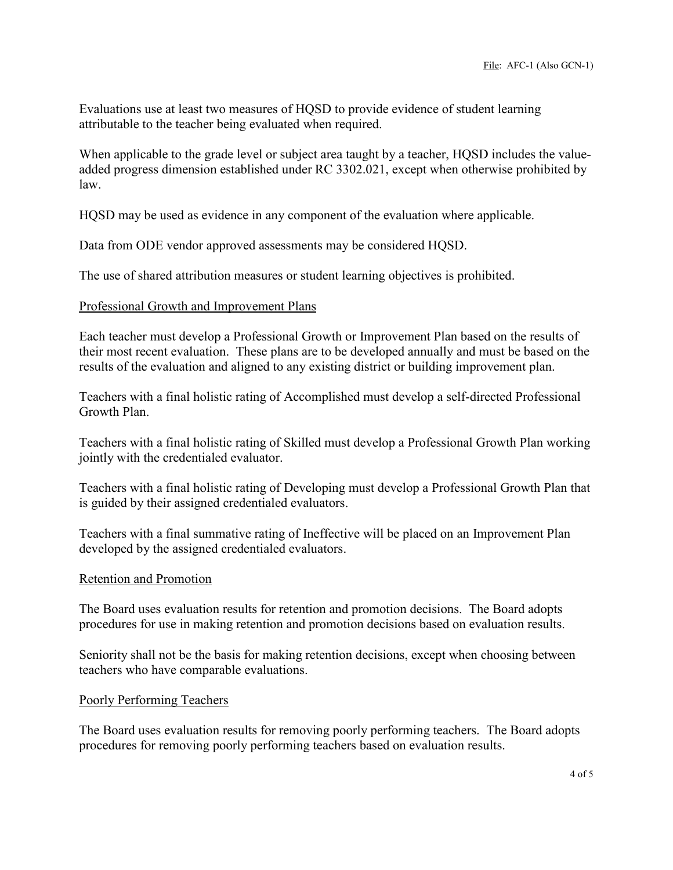Evaluations use at least two measures of HQSD to provide evidence of student learning attributable to the teacher being evaluated when required.

When applicable to the grade level or subject area taught by a teacher, HQSD includes the valueadded progress dimension established under RC 3302.021, except when otherwise prohibited by law.

HQSD may be used as evidence in any component of the evaluation where applicable.

Data from ODE vendor approved assessments may be considered HQSD.

The use of shared attribution measures or student learning objectives is prohibited.

## Professional Growth and Improvement Plans

Each teacher must develop a Professional Growth or Improvement Plan based on the results of their most recent evaluation. These plans are to be developed annually and must be based on the results of the evaluation and aligned to any existing district or building improvement plan.

Teachers with a final holistic rating of Accomplished must develop a self-directed Professional Growth Plan.

Teachers with a final holistic rating of Skilled must develop a Professional Growth Plan working jointly with the credentialed evaluator.

Teachers with a final holistic rating of Developing must develop a Professional Growth Plan that is guided by their assigned credentialed evaluators.

Teachers with a final summative rating of Ineffective will be placed on an Improvement Plan developed by the assigned credentialed evaluators.

### Retention and Promotion

The Board uses evaluation results for retention and promotion decisions. The Board adopts procedures for use in making retention and promotion decisions based on evaluation results.

Seniority shall not be the basis for making retention decisions, except when choosing between teachers who have comparable evaluations.

### Poorly Performing Teachers

The Board uses evaluation results for removing poorly performing teachers. The Board adopts procedures for removing poorly performing teachers based on evaluation results.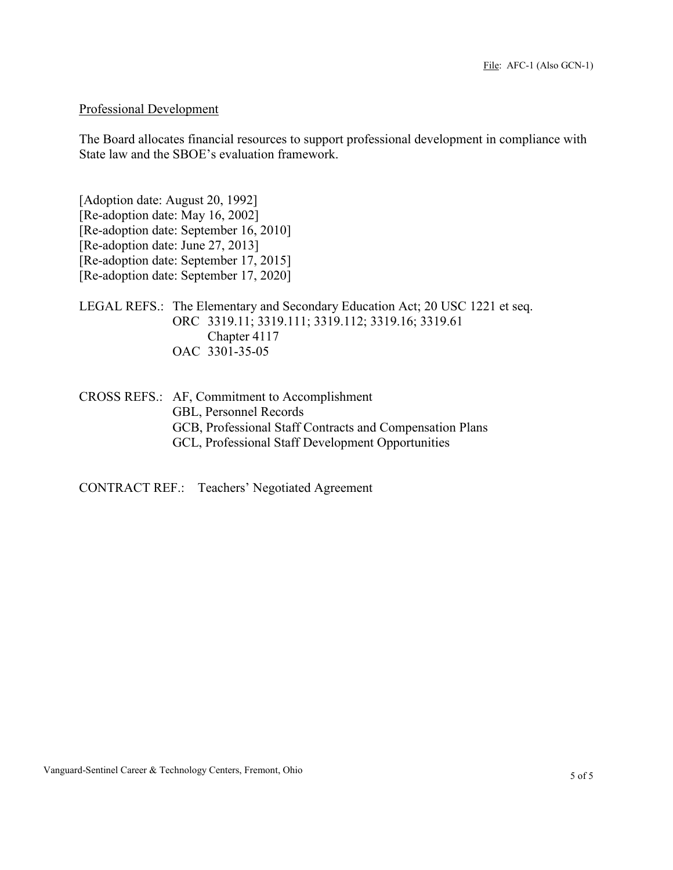#### Professional Development

The Board allocates financial resources to support professional development in compliance with State law and the SBOE's evaluation framework.

[Adoption date: August 20, 1992] [Re-adoption date: May 16, 2002] [Re-adoption date: September 16, 2010] [Re-adoption date: June 27, 2013] [Re-adoption date: September 17, 2015] [Re-adoption date: September 17, 2020]

### LEGAL REFS.: The Elementary and Secondary Education Act; 20 USC 1221 et seq. ORC 3319.11; 3319.111; 3319.112; 3319.16; 3319.61 Chapter 4117 OAC 3301-35-05

CROSS REFS.: AF, Commitment to Accomplishment GBL, Personnel Records GCB, Professional Staff Contracts and Compensation Plans GCL, Professional Staff Development Opportunities

CONTRACT REF.: Teachers' Negotiated Agreement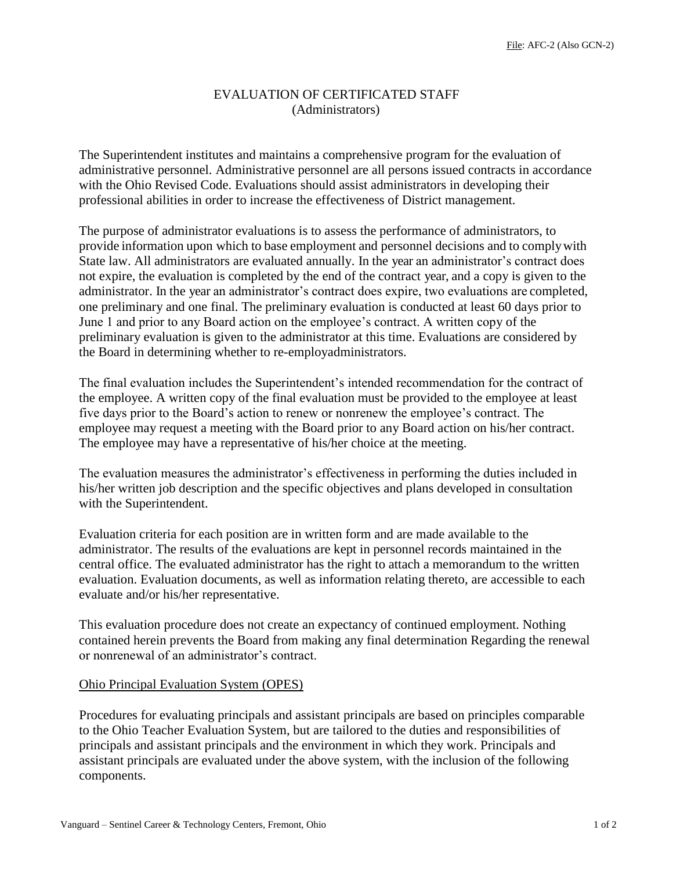## EVALUATION OF CERTIFICATED STAFF (Administrators)

The Superintendent institutes and maintains a comprehensive program for the evaluation of administrative personnel. Administrative personnel are all persons issued contracts in accordance with the Ohio Revised Code. Evaluations should assist administrators in developing their professional abilities in order to increase the effectiveness of District management.

The purpose of administrator evaluations is to assess the performance of administrators, to provide information upon which to base employment and personnel decisions and to complywith State law. All administrators are evaluated annually. In the year an administrator's contract does not expire, the evaluation is completed by the end of the contract year, and a copy is given to the administrator. In the year an administrator's contract does expire, two evaluations are completed, one preliminary and one final. The preliminary evaluation is conducted at least 60 days prior to June 1 and prior to any Board action on the employee's contract. A written copy of the preliminary evaluation is given to the administrator at this time. Evaluations are considered by the Board in determining whether to re-employadministrators.

The final evaluation includes the Superintendent's intended recommendation for the contract of the employee. A written copy of the final evaluation must be provided to the employee at least five days prior to the Board's action to renew or nonrenew the employee's contract. The employee may request a meeting with the Board prior to any Board action on his/her contract. The employee may have a representative of his/her choice at the meeting.

The evaluation measures the administrator's effectiveness in performing the duties included in his/her written job description and the specific objectives and plans developed in consultation with the Superintendent.

Evaluation criteria for each position are in written form and are made available to the administrator. The results of the evaluations are kept in personnel records maintained in the central office. The evaluated administrator has the right to attach a memorandum to the written evaluation. Evaluation documents, as well as information relating thereto, are accessible to each evaluate and/or his/her representative.

This evaluation procedure does not create an expectancy of continued employment. Nothing contained herein prevents the Board from making any final determination Regarding the renewal or nonrenewal of an administrator's contract.

### Ohio Principal Evaluation System (OPES)

Procedures for evaluating principals and assistant principals are based on principles comparable to the Ohio Teacher Evaluation System, but are tailored to the duties and responsibilities of principals and assistant principals and the environment in which they work. Principals and assistant principals are evaluated under the above system, with the inclusion of the following components.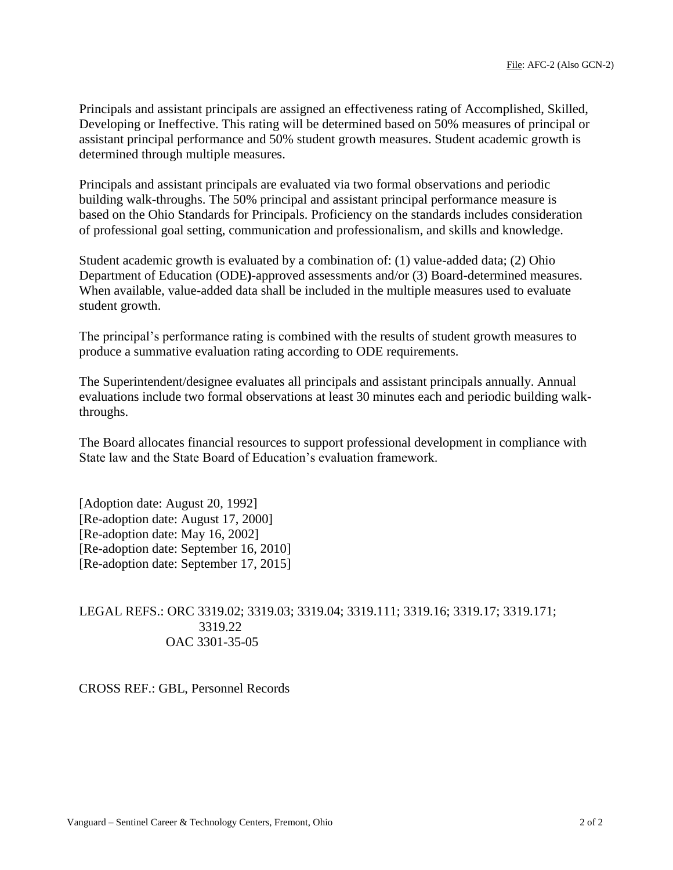Principals and assistant principals are assigned an effectiveness rating of Accomplished, Skilled, Developing or Ineffective. This rating will be determined based on 50% measures of principal or assistant principal performance and 50% student growth measures. Student academic growth is determined through multiple measures.

Principals and assistant principals are evaluated via two formal observations and periodic building walk-throughs. The 50% principal and assistant principal performance measure is based on the Ohio Standards for Principals. Proficiency on the standards includes consideration of professional goal setting, communication and professionalism, and skills and knowledge.

Student academic growth is evaluated by a combination of: (1) value-added data; (2) Ohio Department of Education (ODE**)**-approved assessments and/or (3) Board-determined measures. When available, value-added data shall be included in the multiple measures used to evaluate student growth.

The principal's performance rating is combined with the results of student growth measures to produce a summative evaluation rating according to ODE requirements.

The Superintendent/designee evaluates all principals and assistant principals annually. Annual evaluations include two formal observations at least 30 minutes each and periodic building walkthroughs.

The Board allocates financial resources to support professional development in compliance with State law and the State Board of Education's evaluation framework.

[Adoption date: August 20, 1992] [Re-adoption date: August 17, 2000] [Re-adoption date: May 16, 2002] [Re-adoption date: September 16, 2010] [Re-adoption date: September 17, 2015]

## LEGAL REFS.: ORC 3319.02; 3319.03; 3319.04; 3319.111; 3319.16; 3319.17; 3319.171; 3319.22 OAC 3301-35-05

CROSS REF.: GBL, Personnel Records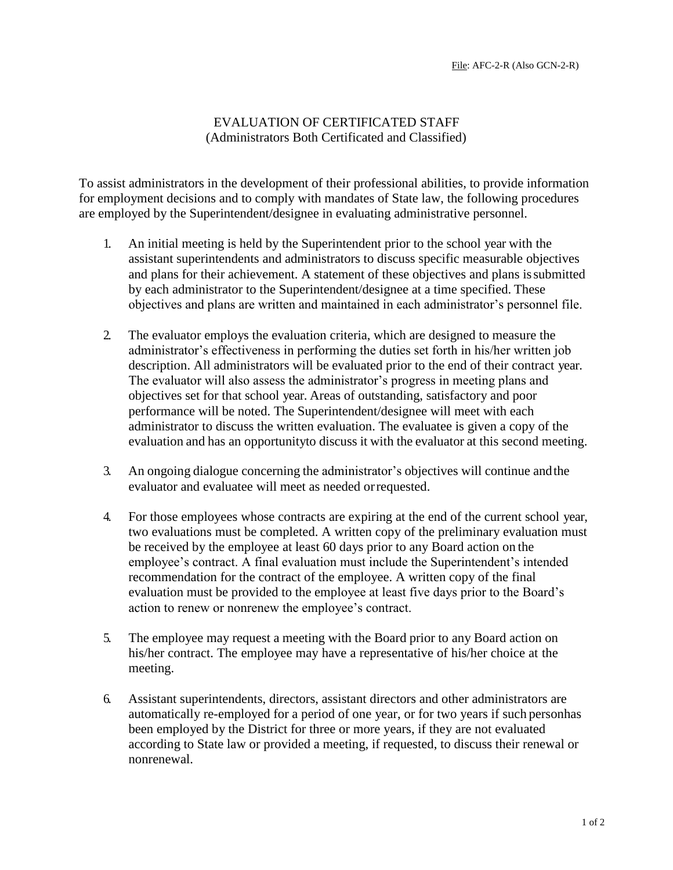## EVALUATION OF CERTIFICATED STAFF (Administrators Both Certificated and Classified)

To assist administrators in the development of their professional abilities, to provide information for employment decisions and to comply with mandates of State law, the following procedures are employed by the Superintendent/designee in evaluating administrative personnel.

- 1. An initial meeting is held by the Superintendent prior to the school year with the assistant superintendents and administrators to discuss specific measurable objectives and plans for their achievement. A statement of these objectives and plans issubmitted by each administrator to the Superintendent/designee at a time specified. These objectives and plans are written and maintained in each administrator's personnel file.
- 2. The evaluator employs the evaluation criteria, which are designed to measure the administrator's effectiveness in performing the duties set forth in his/her written job description. All administrators will be evaluated prior to the end of their contract year. The evaluator will also assess the administrator's progress in meeting plans and objectives set for that school year. Areas of outstanding, satisfactory and poor performance will be noted. The Superintendent/designee will meet with each administrator to discuss the written evaluation. The evaluatee is given a copy of the evaluation and has an opportunityto discuss it with the evaluator at this second meeting.
- 3. An ongoing dialogue concerning the administrator's objectives will continue andthe evaluator and evaluatee will meet as needed orrequested.
- 4. For those employees whose contracts are expiring at the end of the current school year, two evaluations must be completed. A written copy of the preliminary evaluation must be received by the employee at least 60 days prior to any Board action on the employee's contract. A final evaluation must include the Superintendent's intended recommendation for the contract of the employee. A written copy of the final evaluation must be provided to the employee at least five days prior to the Board's action to renew or nonrenew the employee's contract.
- 5. The employee may request a meeting with the Board prior to any Board action on his/her contract. The employee may have a representative of his/her choice at the meeting.
- 6. Assistant superintendents, directors, assistant directors and other administrators are automatically re-employed for a period of one year, or for two years if such personhas been employed by the District for three or more years, if they are not evaluated according to State law or provided a meeting, if requested, to discuss their renewal or nonrenewal.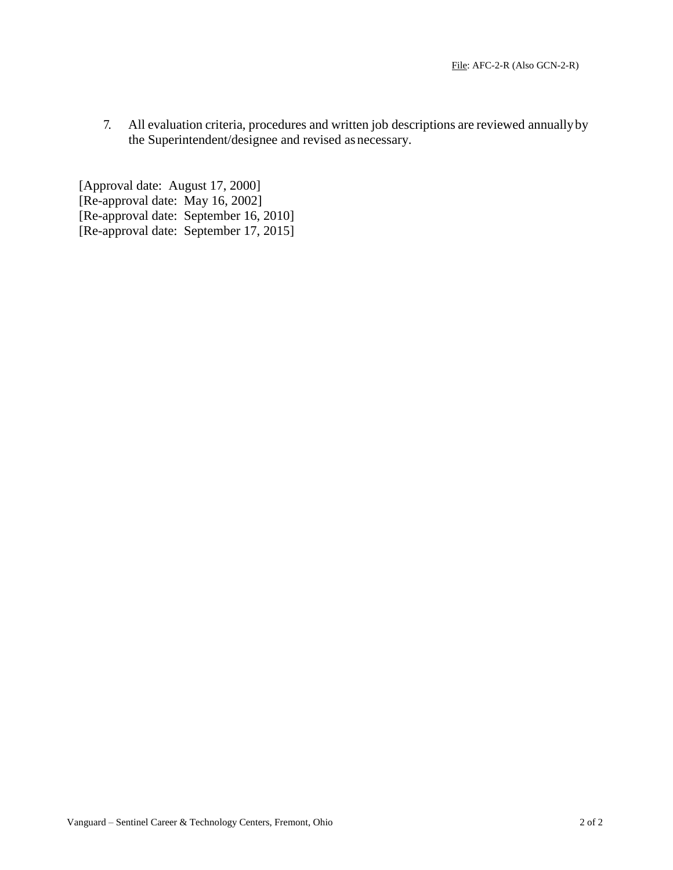7. All evaluation criteria, procedures and written job descriptions are reviewed annuallyby the Superintendent/designee and revised as necessary.

[Approval date: August 17, 2000] [Re-approval date: May 16, 2002] [Re-approval date: September 16, 2010] [Re-approval date: September 17, 2015]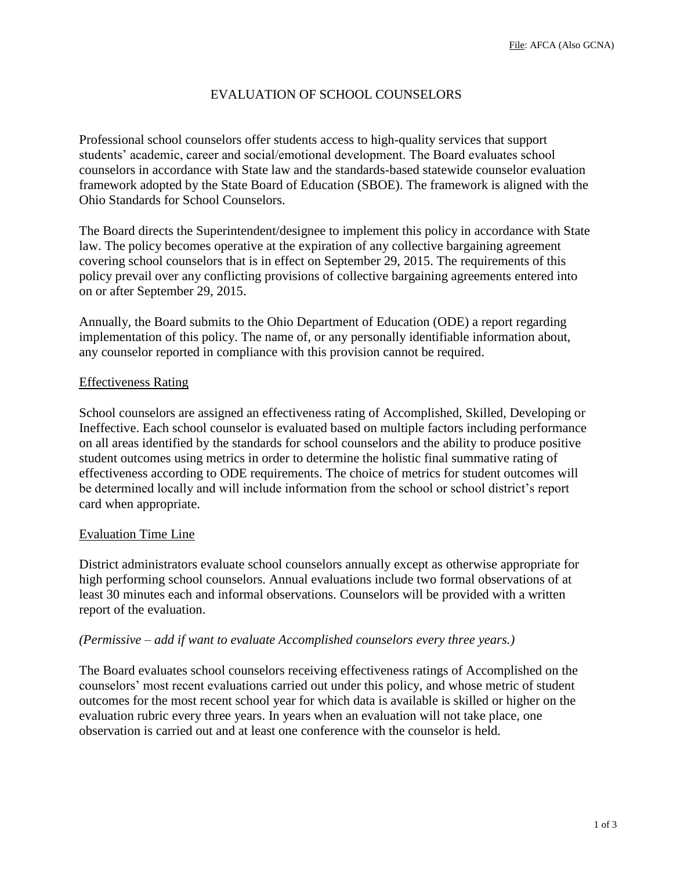## EVALUATION OF SCHOOL COUNSELORS

Professional school counselors offer students access to high-quality services that support students' academic, career and social/emotional development. The Board evaluates school counselors in accordance with State law and the standards-based statewide counselor evaluation framework adopted by the State Board of Education (SBOE). The framework is aligned with the Ohio Standards for School Counselors.

The Board directs the Superintendent/designee to implement this policy in accordance with State law. The policy becomes operative at the expiration of any collective bargaining agreement covering school counselors that is in effect on September 29, 2015. The requirements of this policy prevail over any conflicting provisions of collective bargaining agreements entered into on or after September 29, 2015.

Annually, the Board submits to the Ohio Department of Education (ODE) a report regarding implementation of this policy. The name of, or any personally identifiable information about, any counselor reported in compliance with this provision cannot be required.

#### Effectiveness Rating

School counselors are assigned an effectiveness rating of Accomplished, Skilled, Developing or Ineffective. Each school counselor is evaluated based on multiple factors including performance on all areas identified by the standards for school counselors and the ability to produce positive student outcomes using metrics in order to determine the holistic final summative rating of effectiveness according to ODE requirements. The choice of metrics for student outcomes will be determined locally and will include information from the school or school district's report card when appropriate.

#### Evaluation Time Line

District administrators evaluate school counselors annually except as otherwise appropriate for high performing school counselors. Annual evaluations include two formal observations of at least 30 minutes each and informal observations. Counselors will be provided with a written report of the evaluation.

#### *(Permissive – add if want to evaluate Accomplished counselors every three years.)*

The Board evaluates school counselors receiving effectiveness ratings of Accomplished on the counselors' most recent evaluations carried out under this policy, and whose metric of student outcomes for the most recent school year for which data is available is skilled or higher on the evaluation rubric every three years. In years when an evaluation will not take place, one observation is carried out and at least one conference with the counselor is held.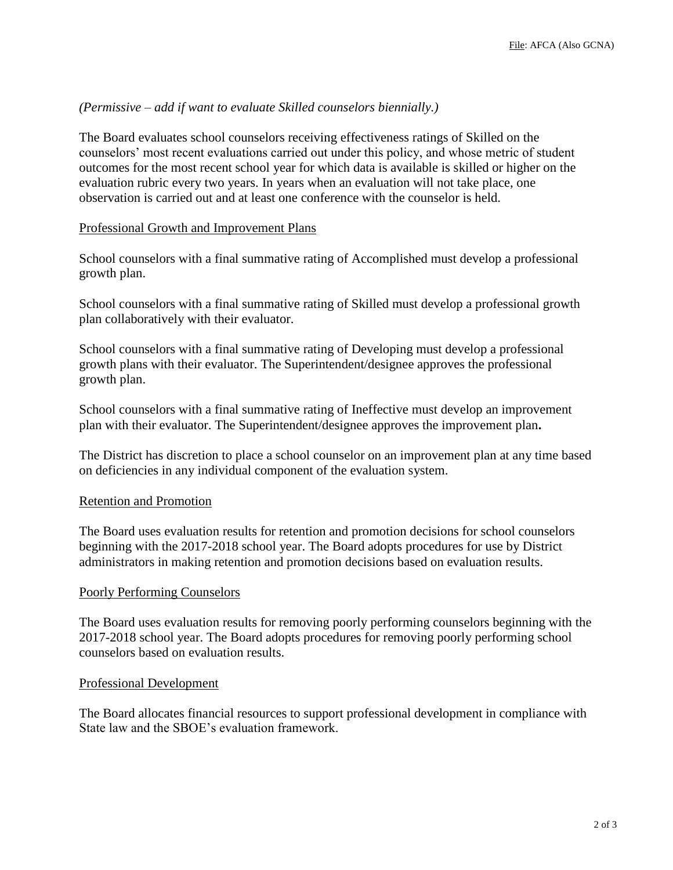### *(Permissive – add if want to evaluate Skilled counselors biennially.)*

The Board evaluates school counselors receiving effectiveness ratings of Skilled on the counselors' most recent evaluations carried out under this policy, and whose metric of student outcomes for the most recent school year for which data is available is skilled or higher on the evaluation rubric every two years. In years when an evaluation will not take place, one observation is carried out and at least one conference with the counselor is held.

#### Professional Growth and Improvement Plans

School counselors with a final summative rating of Accomplished must develop a professional growth plan.

School counselors with a final summative rating of Skilled must develop a professional growth plan collaboratively with their evaluator.

School counselors with a final summative rating of Developing must develop a professional growth plans with their evaluator. The Superintendent/designee approves the professional growth plan.

School counselors with a final summative rating of Ineffective must develop an improvement plan with their evaluator. The Superintendent/designee approves the improvement plan**.**

The District has discretion to place a school counselor on an improvement plan at any time based on deficiencies in any individual component of the evaluation system.

#### Retention and Promotion

The Board uses evaluation results for retention and promotion decisions for school counselors beginning with the 2017-2018 school year. The Board adopts procedures for use by District administrators in making retention and promotion decisions based on evaluation results.

#### Poorly Performing Counselors

The Board uses evaluation results for removing poorly performing counselors beginning with the 2017-2018 school year. The Board adopts procedures for removing poorly performing school counselors based on evaluation results.

#### Professional Development

The Board allocates financial resources to support professional development in compliance with State law and the SBOE's evaluation framework.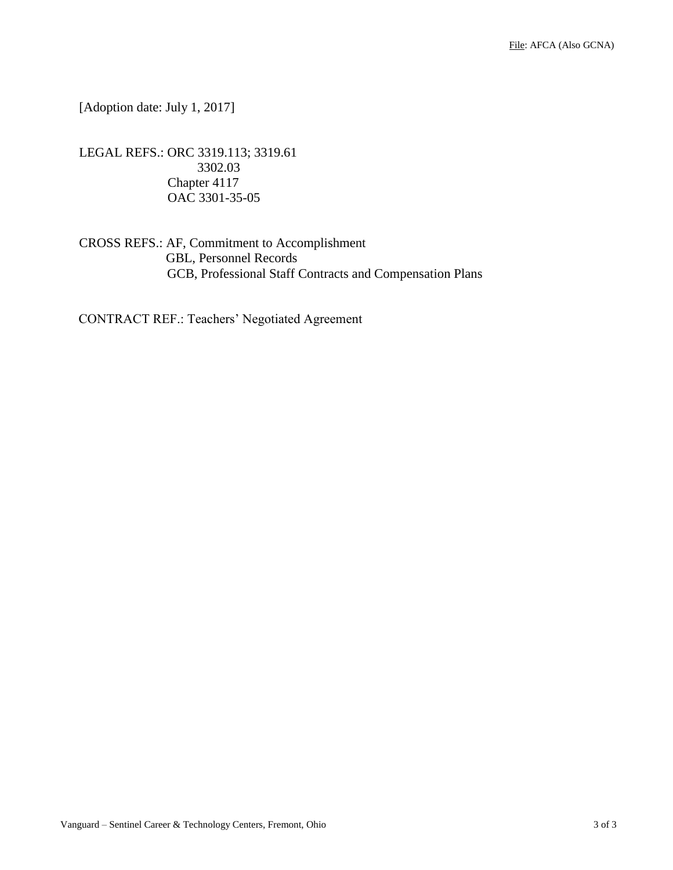[Adoption date: July 1, 2017]

LEGAL REFS.: ORC 3319.113; 3319.61 3302.03 Chapter 4117 OAC 3301-35-05

CROSS REFS.: AF, Commitment to Accomplishment GBL, Personnel Records GCB, Professional Staff Contracts and Compensation Plans

CONTRACT REF.: Teachers' Negotiated Agreement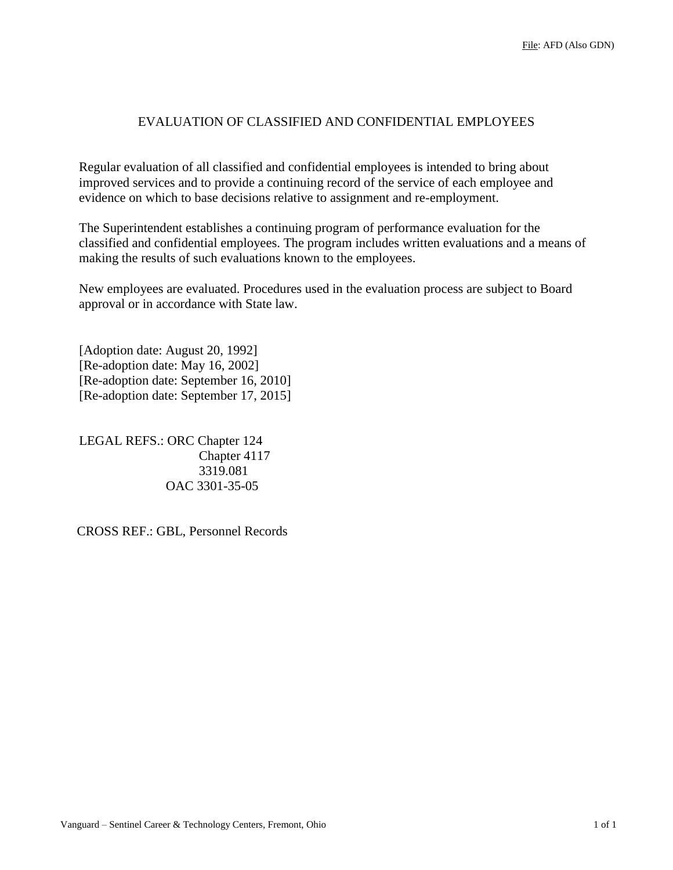## EVALUATION OF CLASSIFIED AND CONFIDENTIAL EMPLOYEES

Regular evaluation of all classified and confidential employees is intended to bring about improved services and to provide a continuing record of the service of each employee and evidence on which to base decisions relative to assignment and re-employment.

The Superintendent establishes a continuing program of performance evaluation for the classified and confidential employees. The program includes written evaluations and a means of making the results of such evaluations known to the employees.

New employees are evaluated. Procedures used in the evaluation process are subject to Board approval or in accordance with State law.

[Adoption date: August 20, 1992] [Re-adoption date: May 16, 2002] [Re-adoption date: September 16, 2010] [Re-adoption date: September 17, 2015]

LEGAL REFS.: ORC Chapter 124 Chapter 4117 3319.081 OAC 3301-35-05

CROSS REF.: GBL, Personnel Records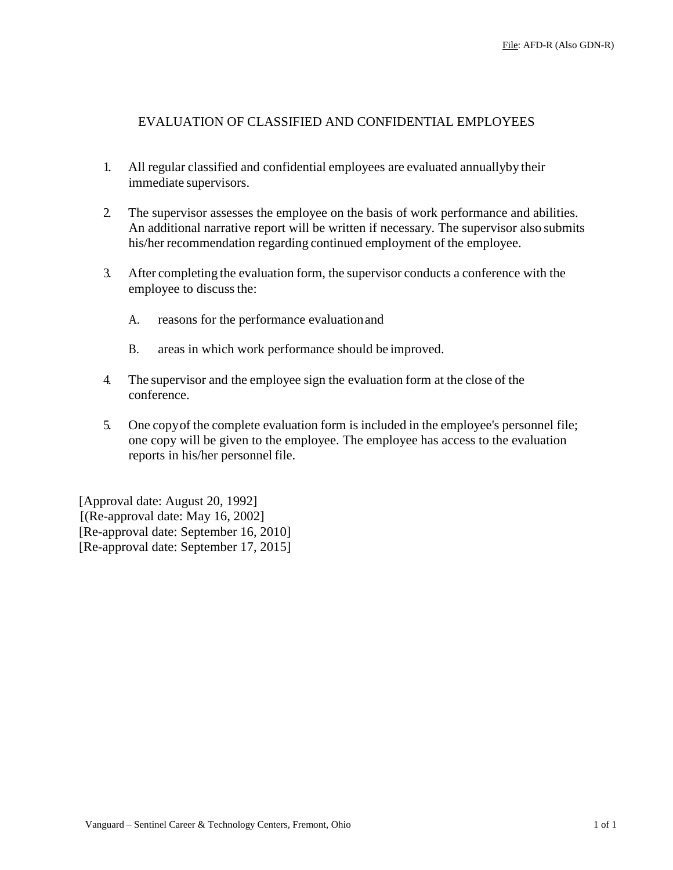## EVALUATION OF CLASSIFIED AND CONFIDENTIAL EMPLOYEES

- 1. All regular classified and confidential employees are evaluated annuallyby their immediate supervisors.
- 2. The supervisor assesses the employee on the basis of work performance and abilities. An additional narrative report will be written if necessary. The supervisor also submits his/her recommendation regarding continued employment of the employee.
- 3. After completing the evaluation form, the supervisor conducts a conference with the employee to discuss the:
	- A. reasons for the performance evaluationand
	- B. areas in which work performance should be improved.
- 4. The supervisor and the employee sign the evaluation form at the close of the conference.
- 5. One copyof the complete evaluation form is included in the employee's personnel file; one copy will be given to the employee. The employee has access to the evaluation reports in his/her personnel file.

[Approval date: August 20, 1992] [(Re-approval date: May 16, 2002] [Re-approval date: September 16, 2010] [Re-approval date: September 17, 2015]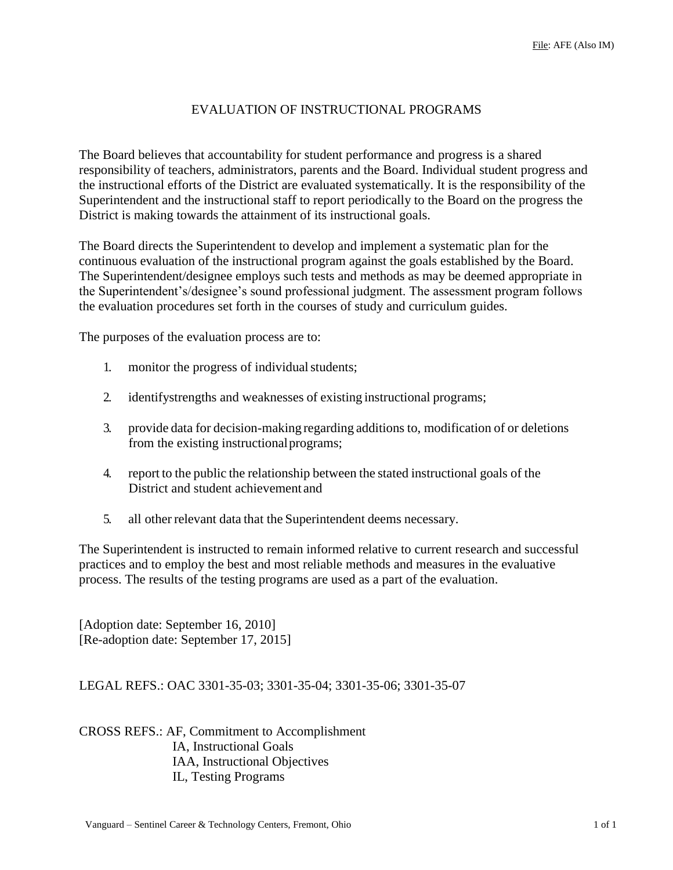## EVALUATION OF INSTRUCTIONAL PROGRAMS

The Board believes that accountability for student performance and progress is a shared responsibility of teachers, administrators, parents and the Board. Individual student progress and the instructional efforts of the District are evaluated systematically. It is the responsibility of the Superintendent and the instructional staff to report periodically to the Board on the progress the District is making towards the attainment of its instructional goals.

The Board directs the Superintendent to develop and implement a systematic plan for the continuous evaluation of the instructional program against the goals established by the Board. The Superintendent/designee employs such tests and methods as may be deemed appropriate in the Superintendent's/designee's sound professional judgment. The assessment program follows the evaluation procedures set forth in the courses of study and curriculum guides.

The purposes of the evaluation process are to:

- 1. monitor the progress of individual students;
- 2. identifystrengths and weaknesses of existing instructional programs;
- 3. provide data for decision-making regarding additions to, modification of or deletions from the existing instructionalprograms;
- 4. report to the public the relationship between the stated instructional goals of the District and student achievement and
- 5. all other relevant data that the Superintendent deems necessary.

The Superintendent is instructed to remain informed relative to current research and successful practices and to employ the best and most reliable methods and measures in the evaluative process. The results of the testing programs are used as a part of the evaluation.

[Adoption date: September 16, 2010] [Re-adoption date: September 17, 2015]

LEGAL REFS.: OAC 3301-35-03; 3301-35-04; 3301-35-06; 3301-35-07

CROSS REFS.: AF, Commitment to Accomplishment IA, Instructional Goals IAA, Instructional Objectives IL, Testing Programs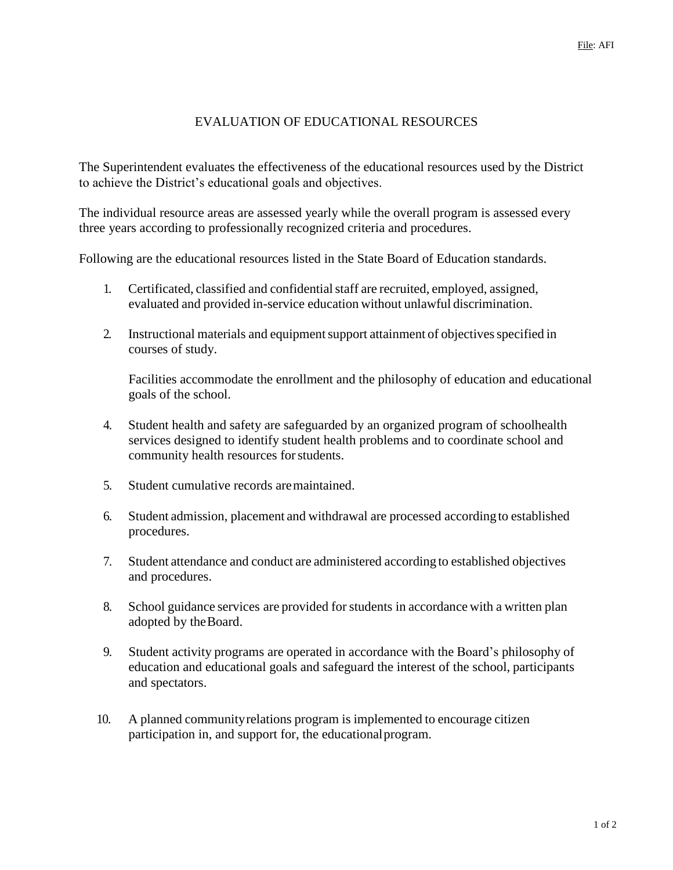## EVALUATION OF EDUCATIONAL RESOURCES

The Superintendent evaluates the effectiveness of the educational resources used by the District to achieve the District's educational goals and objectives.

The individual resource areas are assessed yearly while the overall program is assessed every three years according to professionally recognized criteria and procedures.

Following are the educational resources listed in the State Board of Education standards.

- 1. Certificated, classified and confidentialstaff are recruited, employed, assigned, evaluated and provided in-service education without unlawful discrimination.
- 2. Instructional materials and equipment support attainment of objectives specified in courses of study.

Facilities accommodate the enrollment and the philosophy of education and educational goals of the school.

- 4. Student health and safety are safeguarded by an organized program of schoolhealth services designed to identify student health problems and to coordinate school and community health resources forstudents.
- 5. Student cumulative records aremaintained.
- 6. Student admission, placement and withdrawal are processed accordingto established procedures.
- 7. Student attendance and conduct are administered according to established objectives and procedures.
- 8. School guidance services are provided for students in accordance with a written plan adopted by theBoard.
- 9. Student activity programs are operated in accordance with the Board's philosophy of education and educational goals and safeguard the interest of the school, participants and spectators.
- 10. A planned communityrelations program is implemented to encourage citizen participation in, and support for, the educationalprogram.